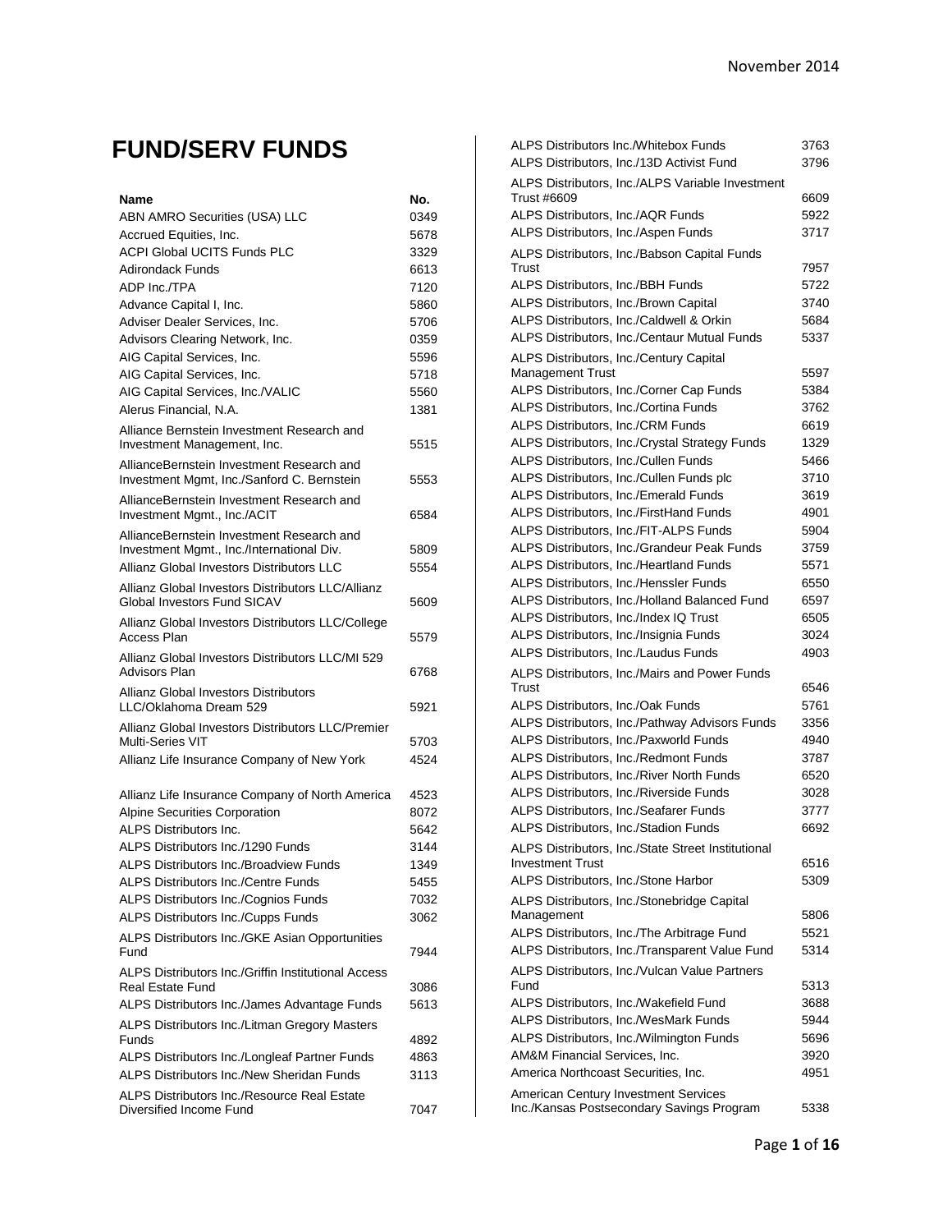## **FUND/SERV FUNDS**

| Name                                                                                    | No.  |
|-----------------------------------------------------------------------------------------|------|
| ABN AMRO Securities (USA) LLC                                                           | 0349 |
| Accrued Equities, Inc.                                                                  | 5678 |
| <b>ACPI Global UCITS Funds PLC</b>                                                      | 3329 |
| Adirondack Funds                                                                        | 6613 |
| ADP Inc./TPA                                                                            | 7120 |
| Advance Capital I, Inc.                                                                 | 5860 |
| Adviser Dealer Services, Inc.                                                           | 5706 |
| Advisors Clearing Network, Inc.                                                         | 0359 |
| AIG Capital Services, Inc.                                                              | 5596 |
| AIG Capital Services, Inc.                                                              | 5718 |
| AIG Capital Services, Inc./VALIC                                                        | 5560 |
| Alerus Financial, N.A.                                                                  | 1381 |
| Alliance Bernstein Investment Research and<br>Investment Management, Inc.               | 5515 |
| AllianceBernstein Investment Research and<br>Investment Mgmt, Inc./Sanford C. Bernstein | 5553 |
| AllianceBernstein Investment Research and<br>Investment Mgmt., Inc./ACIT                | 6584 |
| AllianceBernstein Investment Research and                                               |      |
| Investment Mgmt., Inc./International Div.                                               | 5809 |
| Allianz Global Investors Distributors LLC                                               | 5554 |
| Allianz Global Investors Distributors LLC/Allianz<br>Global Investors Fund SICAV        | 5609 |
| Allianz Global Investors Distributors LLC/College<br><b>Access Plan</b>                 | 5579 |
| Allianz Global Investors Distributors LLC/MI 529<br><b>Advisors Plan</b>                | 6768 |
| Allianz Global Investors Distributors                                                   |      |
| LLC/Oklahoma Dream 529                                                                  | 5921 |
| Allianz Global Investors Distributors LLC/Premier                                       |      |
| Multi-Series VIT                                                                        | 5703 |
| Allianz Life Insurance Company of New York                                              | 4524 |
| Allianz Life Insurance Company of North America                                         | 4523 |
| Alpine Securities Corporation                                                           | 8072 |
| <b>ALPS Distributors Inc.</b>                                                           | 5642 |
| ALPS Distributors Inc./1290 Funds                                                       | 3144 |
| ALPS Distributors Inc./Broadview Funds                                                  | 1349 |
| <b>ALPS Distributors Inc./Centre Funds</b>                                              | 5455 |
| ALPS Distributors Inc./Cognios Funds                                                    | 7032 |
| ALPS Distributors Inc./Cupps Funds                                                      | 3062 |
| ALPS Distributors Inc./GKE Asian Opportunities<br>Fund                                  | 7944 |
| ALPS Distributors Inc./Griffin Institutional Access                                     |      |
| <b>Real Estate Fund</b>                                                                 | 3086 |
| ALPS Distributors Inc./James Advantage Funds                                            | 5613 |
| ALPS Distributors Inc./Litman Gregory Masters                                           |      |
| <b>Funds</b>                                                                            | 4892 |
| ALPS Distributors Inc./Longleaf Partner Funds                                           | 4863 |
| ALPS Distributors Inc./New Sheridan Funds                                               | 3113 |
| ALPS Distributors Inc./Resource Real Estate<br>Diversified Income Fund                  | 7047 |

| ALPS Distributors Inc./Whitebox Funds                           | 3763 |
|-----------------------------------------------------------------|------|
| ALPS Distributors, Inc./13D Activist Fund                       | 3796 |
| ALPS Distributors, Inc./ALPS Variable Investment<br>Trust #6609 | 6609 |
| ALPS Distributors, Inc./AQR Funds                               | 5922 |
| ALPS Distributors, Inc./Aspen Funds                             | 3717 |
| ALPS Distributors, Inc./Babson Capital Funds                    |      |
| Trust                                                           | 7957 |
| ALPS Distributors, Inc./BBH Funds                               | 5722 |
| ALPS Distributors, Inc./Brown Capital                           | 3740 |
| ALPS Distributors, Inc./Caldwell & Orkin                        | 5684 |
| ALPS Distributors, Inc./Centaur Mutual Funds                    | 5337 |
| ALPS Distributors, Inc./Century Capital<br>Management Trust     | 5597 |
| ALPS Distributors, Inc./Corner Cap Funds                        | 5384 |
| ALPS Distributors, Inc./Cortina Funds                           | 3762 |
| ALPS Distributors, Inc./CRM Funds                               | 6619 |
| ALPS Distributors, Inc./Crystal Strategy Funds                  | 1329 |
| ALPS Distributors, Inc./Cullen Funds                            | 5466 |
| ALPS Distributors, Inc./Cullen Funds plc                        | 3710 |
| ALPS Distributors, Inc./Emerald Funds                           | 3619 |
| ALPS Distributors, Inc./FirstHand Funds                         | 4901 |
| ALPS Distributors, Inc./FIT-ALPS Funds                          | 5904 |
| ALPS Distributors, Inc./Grandeur Peak Funds                     | 3759 |
| ALPS Distributors, Inc./Heartland Funds                         | 5571 |
| ALPS Distributors, Inc./Henssler Funds                          | 6550 |
| ALPS Distributors, Inc./Holland Balanced Fund                   | 6597 |
| ALPS Distributors, Inc./Index IQ Trust                          | 6505 |
| ALPS Distributors, Inc./Insignia Funds                          | 3024 |
| ALPS Distributors, Inc./Laudus Funds                            | 4903 |
| ALPS Distributors, Inc./Mairs and Power Funds                   |      |
| Trust                                                           | 6546 |
| ALPS Distributors, Inc./Oak Funds                               | 5761 |
| ALPS Distributors, Inc./Pathway Advisors Funds                  | 3356 |
| ALPS Distributors, Inc./Paxworld Funds                          | 4940 |
| ALPS Distributors, Inc./Redmont Funds                           | 3787 |
| ALPS Distributors, Inc./River North Funds                       | 6520 |
| ALPS Distributors, Inc./Riverside Funds                         | 3028 |
| ALPS Distributors, Inc./Seafarer Funds                          | 3777 |
| <b>ALPS Distributors. Inc./Stadion Funds</b>                    | 6692 |
| ALPS Distributors, Inc./State Street Institutional              |      |
| <b>Investment Trust</b>                                         | 6516 |
| ALPS Distributors, Inc./Stone Harbor                            | 5309 |
| ALPS Distributors, Inc./Stonebridge Capital                     |      |
| Management                                                      | 5806 |
| ALPS Distributors, Inc./The Arbitrage Fund                      | 5521 |
| ALPS Distributors, Inc./Transparent Value Fund                  | 5314 |
| ALPS Distributors, Inc./Vulcan Value Partners<br>Fund           | 5313 |
| ALPS Distributors, Inc./Wakefield Fund                          | 3688 |
| ALPS Distributors, Inc./WesMark Funds                           | 5944 |
| ALPS Distributors, Inc./Wilmington Funds                        | 5696 |
| AM&M Financial Services, Inc.                                   | 3920 |
| America Northcoast Securities, Inc.                             | 4951 |
| American Century Investment Services                            |      |
| Inc./Kansas Postsecondary Savings Program                       | 5338 |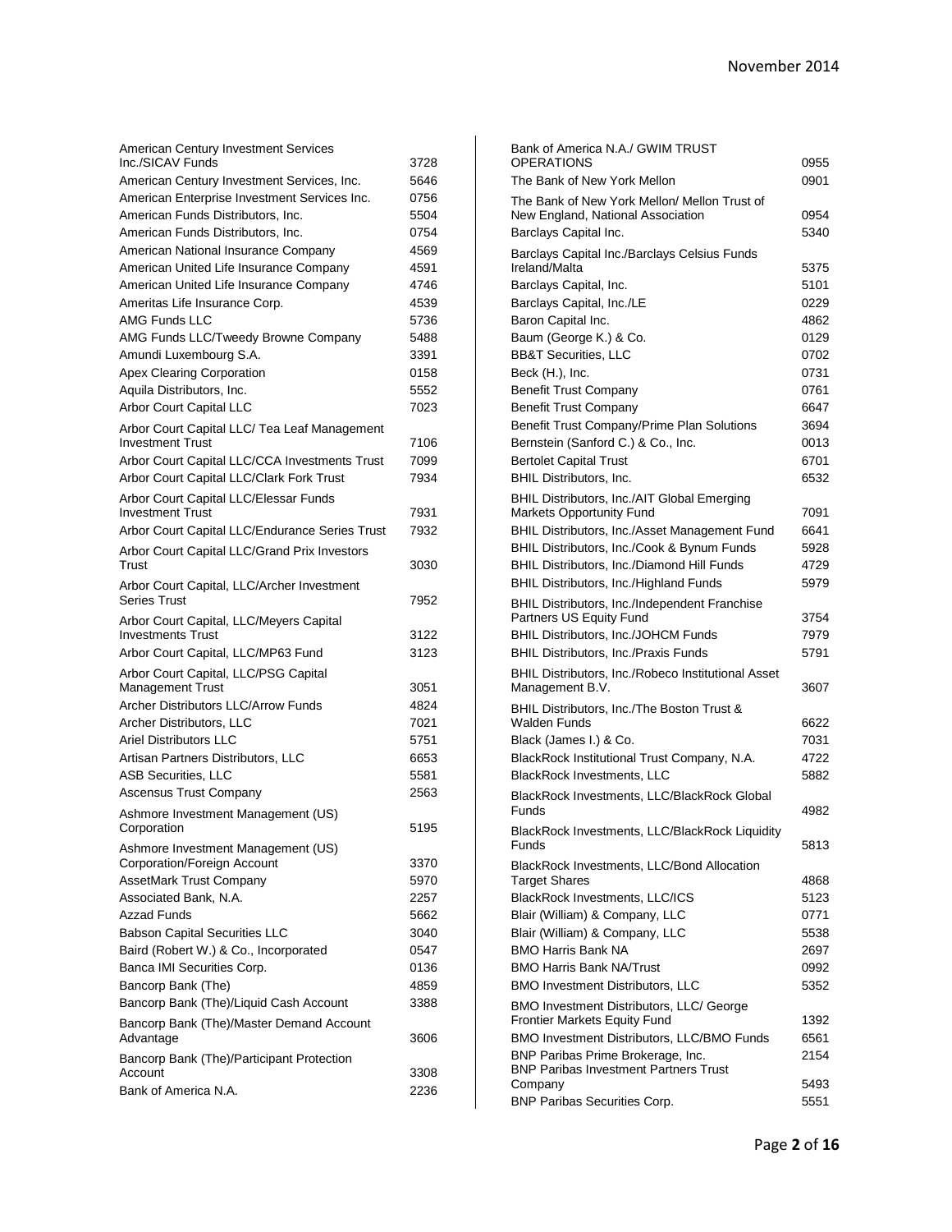| <b>American Century Investment Services</b>                             |              |
|-------------------------------------------------------------------------|--------------|
| Inc./SICAV Funds                                                        | 3728         |
| American Century Investment Services, Inc.                              | 5646         |
| American Enterprise Investment Services Inc.                            | 0756         |
| American Funds Distributors, Inc.                                       | 5504         |
| American Funds Distributors, Inc.                                       | 0754         |
| American National Insurance Company                                     | 4569         |
| American United Life Insurance Company                                  | 4591         |
| American United Life Insurance Company                                  | 4746         |
| Ameritas Life Insurance Corp.                                           | 4539         |
| <b>AMG Funds LLC</b>                                                    | 5736         |
| AMG Funds LLC/Tweedy Browne Company                                     | 5488         |
| Amundi Luxembourg S.A.                                                  | 3391         |
| <b>Apex Clearing Corporation</b>                                        | 0158         |
| Aquila Distributors, Inc.                                               | 5552         |
| <b>Arbor Court Capital LLC</b>                                          | 7023         |
| Arbor Court Capital LLC/ Tea Leaf Management<br><b>Investment Trust</b> |              |
|                                                                         | 7106<br>7099 |
| Arbor Court Capital LLC/CCA Investments Trust                           | 7934         |
| Arbor Court Capital LLC/Clark Fork Trust                                |              |
| Arbor Court Capital LLC/Elessar Funds<br><b>Investment Trust</b>        | 7931         |
| Arbor Court Capital LLC/Endurance Series Trust                          | 7932         |
|                                                                         |              |
| Arbor Court Capital LLC/Grand Prix Investors<br>Trust                   | 3030         |
| Arbor Court Capital, LLC/Archer Investment                              |              |
| <b>Series Trust</b>                                                     | 7952         |
| Arbor Court Capital, LLC/Meyers Capital                                 |              |
| <b>Investments Trust</b>                                                | 3122         |
| Arbor Court Capital, LLC/MP63 Fund                                      | 3123         |
| Arbor Court Capital, LLC/PSG Capital                                    |              |
| <b>Management Trust</b>                                                 | 3051         |
| Archer Distributors LLC/Arrow Funds                                     | 4824         |
| Archer Distributors, LLC                                                | 7021         |
| <b>Ariel Distributors LLC</b>                                           | 5751         |
| Artisan Partners Distributors, LLC                                      | 6653         |
| <b>ASB Securities, LLC</b>                                              | 5581         |
| <b>Ascensus Trust Company</b>                                           | 2563         |
| Ashmore Investment Management (US)                                      |              |
| Corporation                                                             | 5195         |
| Ashmore Investment Management (US)                                      |              |
| Corporation/Foreign Account                                             | 3370         |
| <b>AssetMark Trust Company</b>                                          | 5970         |
| Associated Bank, N.A.                                                   | 2257         |
| <b>Azzad Funds</b>                                                      | 5662         |
| <b>Babson Capital Securities LLC</b>                                    | 3040         |
| Baird (Robert W.) & Co., Incorporated                                   | 0547         |
| Banca IMI Securities Corp.                                              | 0136         |
| Bancorp Bank (The)                                                      | 4859         |
| Bancorp Bank (The)/Liquid Cash Account                                  | 3388         |
| Bancorp Bank (The)/Master Demand Account                                | 3606         |
| Advantage                                                               |              |
| Bancorp Bank (The)/Participant Protection<br>Account                    | 3308         |
| Bank of America N.A.                                                    | 2236         |
|                                                                         |              |

| Bank of America N.A./ GWIM TRUST                   |      |
|----------------------------------------------------|------|
| OPERATIONS                                         | 0955 |
| The Bank of New York Mellon                        | 0901 |
| The Bank of New York Mellon/ Mellon Trust of       |      |
| New England, National Association                  | 0954 |
| Barclays Capital Inc.                              | 5340 |
| Barclays Capital Inc./Barclays Celsius Funds       |      |
| Ireland/Malta                                      | 5375 |
| Barclays Capital, Inc.                             | 5101 |
| Barclays Capital, Inc./LE                          | 0229 |
| Baron Capital Inc.                                 | 4862 |
| Baum (George K.) & Co.                             | 0129 |
| <b>BB&amp;T Securities, LLC</b>                    | 0702 |
| Beck (H.), Inc.                                    | 0731 |
| Benefit Trust Company                              | 0761 |
| <b>Benefit Trust Company</b>                       | 6647 |
| Benefit Trust Company/Prime Plan Solutions         | 3694 |
| Bernstein (Sanford C.) & Co., Inc.                 | 0013 |
| <b>Bertolet Capital Trust</b>                      | 6701 |
| <b>BHIL Distributors, Inc.</b>                     | 6532 |
| BHIL Distributors, Inc./AIT Global Emerging        |      |
| <b>Markets Opportunity Fund</b>                    | 7091 |
| BHIL Distributors, Inc./Asset Management Fund      | 6641 |
| BHIL Distributors, Inc./Cook & Bynum Funds         | 5928 |
| BHIL Distributors, Inc./Diamond Hill Funds         | 4729 |
| <b>BHIL Distributors, Inc./Highland Funds</b>      | 5979 |
| BHIL Distributors, Inc./Independent Franchise      |      |
| Partners US Equity Fund                            | 3754 |
| BHIL Distributors, Inc./JOHCM Funds                | 7979 |
| BHIL Distributors, Inc./Praxis Funds               | 5791 |
| BHIL Distributors, Inc./Robeco Institutional Asset |      |
| Management B.V.                                    | 3607 |
| BHIL Distributors, Inc./The Boston Trust &         |      |
| Walden Funds                                       | 6622 |
| Black (James I.) & Co.                             | 7031 |
| BlackRock Institutional Trust Company, N.A.        | 4722 |
| <b>BlackRock Investments, LLC</b>                  | 5882 |
| BlackRock Investments, LLC/BlackRock Global        |      |
| Funds                                              | 4982 |
| BlackRock Investments, LLC/BlackRock Liquidity     |      |
| Funds                                              | 5813 |
| BlackRock Investments, LLC/Bond Allocation         |      |
| <b>Target Shares</b>                               | 4868 |
| BlackRock Investments, LLC/ICS                     | 5123 |
| Blair (William) & Company, LLC                     | 0771 |
| Blair (William) & Company, LLC                     | 5538 |
| <b>BMO Harris Bank NA</b>                          | 2697 |
| BMO Harris Bank NA/Trust                           | 0992 |
| <b>BMO Investment Distributors, LLC</b>            | 5352 |
| BMO Investment Distributors, LLC/ George           |      |
| Frontier Markets Equity Fund                       | 1392 |
| <b>BMO Investment Distributors, LLC/BMO Funds</b>  | 6561 |
| BNP Paribas Prime Brokerage, Inc.                  | 2154 |
| <b>BNP Paribas Investment Partners Trust</b>       | 5493 |
| Company                                            | 5551 |
| <b>BNP Paribas Securities Corp.</b>                |      |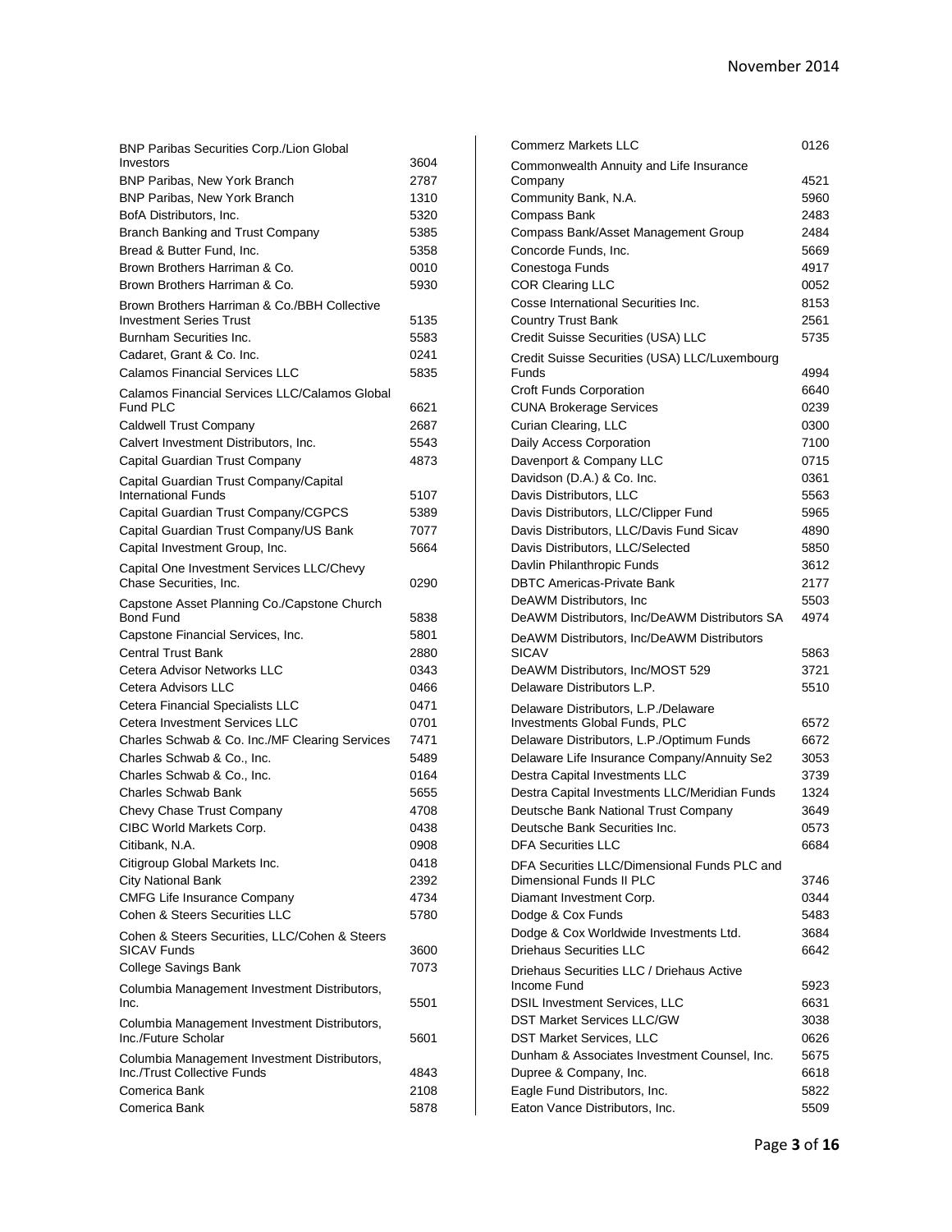| <b>BNP Paribas Securities Corp./Lion Global</b>                 |      |
|-----------------------------------------------------------------|------|
| Investors                                                       | 3604 |
| <b>BNP Paribas, New York Branch</b>                             | 2787 |
| BNP Paribas, New York Branch                                    | 1310 |
| BofA Distributors, Inc.                                         | 5320 |
| Branch Banking and Trust Company                                | 5385 |
| Bread & Butter Fund, Inc.                                       | 5358 |
| Brown Brothers Harriman & Co.                                   | 0010 |
| Brown Brothers Harriman & Co.                                   | 5930 |
| Brown Brothers Harriman & Co./BBH Collective                    |      |
| <b>Investment Series Trust</b>                                  | 5135 |
| Burnham Securities Inc.                                         | 5583 |
| Cadaret, Grant & Co. Inc.                                       | 0241 |
| <b>Calamos Financial Services LLC</b>                           | 5835 |
| Calamos Financial Services LLC/Calamos Global                   |      |
| Fund PLC                                                        | 6621 |
| Caldwell Trust Company                                          | 2687 |
| Calvert Investment Distributors, Inc.                           | 5543 |
| Capital Guardian Trust Company                                  | 4873 |
| Capital Guardian Trust Company/Capital                          |      |
| <b>International Funds</b>                                      | 5107 |
| Capital Guardian Trust Company/CGPCS                            | 5389 |
| Capital Guardian Trust Company/US Bank                          | 7077 |
| Capital Investment Group, Inc.                                  | 5664 |
| Capital One Investment Services LLC/Chevy                       |      |
| Chase Securities, Inc.                                          | 0290 |
| Capstone Asset Planning Co./Capstone Church<br><b>Bond Fund</b> | 5838 |
|                                                                 | 5801 |
| Capstone Financial Services, Inc.                               |      |
| <b>Central Trust Bank</b>                                       | 2880 |
| Cetera Advisor Networks LLC                                     | 0343 |
| Cetera Advisors LLC                                             | 0466 |
| Cetera Financial Specialists LLC                                | 0471 |
| Cetera Investment Services LLC                                  | 0701 |
| Charles Schwab & Co. Inc./MF Clearing Services                  | 7471 |
| Charles Schwab & Co., Inc.                                      | 5489 |
| Charles Schwab & Co., Inc.                                      | 0164 |
| <b>Charles Schwab Bank</b>                                      | 5655 |
| Chevy Chase Trust Company                                       | 4708 |
| CIBC World Markets Corp.                                        | 0438 |
| Citibank, N.A.                                                  | 0908 |
| Citigroup Global Markets Inc.                                   | 0418 |
| <b>City National Bank</b>                                       | 2392 |
| <b>CMFG Life Insurance Company</b>                              | 4734 |
| Cohen & Steers Securities LLC                                   | 5780 |
| Cohen & Steers Securities, LLC/Cohen & Steers                   |      |
| SICAV Funds                                                     | 3600 |
| College Savings Bank                                            | 7073 |
| Columbia Management Investment Distributors,<br>Inc.            | 5501 |
| Columbia Management Investment Distributors,                    |      |
| Inc./Future Scholar                                             | 5601 |
| Columbia Management Investment Distributors,                    |      |
| Inc./Trust Collective Funds                                     | 4843 |
| Comerica Bank                                                   | 2108 |
| Comerica Bank                                                   | 5878 |

| <b>Commerz Markets LLC</b>                                            | 0126         |
|-----------------------------------------------------------------------|--------------|
| Commonwealth Annuity and Life Insurance                               |              |
| Company                                                               | 4521         |
| Community Bank, N.A.                                                  | 5960         |
| Compass Bank                                                          | 2483         |
| Compass Bank/Asset Management Group                                   | 2484         |
| Concorde Funds, Inc.                                                  | 5669         |
| Conestoga Funds                                                       | 4917         |
| <b>COR Clearing LLC</b>                                               | 0052         |
| Cosse International Securities Inc.                                   | 8153         |
| <b>Country Trust Bank</b>                                             | 2561         |
| Credit Suisse Securities (USA) LLC                                    | 5735         |
| Credit Suisse Securities (USA) LLC/Luxembourg                         |              |
| Funds                                                                 | 4994         |
| Croft Funds Corporation                                               | 6640         |
| <b>CUNA Brokerage Services</b>                                        | 0239         |
| Curian Clearing, LLC                                                  | 0300         |
| Daily Access Corporation                                              | 7100         |
| Davenport & Company LLC                                               | 0715         |
| Davidson (D.A.) & Co. Inc.                                            | 0361         |
| Davis Distributors, LLC                                               | 5563         |
| Davis Distributors, LLC/Clipper Fund                                  | 5965         |
| Davis Distributors, LLC/Davis Fund Sicav                              | 4890         |
| Davis Distributors, LLC/Selected                                      | 5850         |
| Davlin Philanthropic Funds                                            | 3612         |
| <b>DBTC Americas-Private Bank</b>                                     | 2177         |
| DeAWM Distributors, Inc.                                              | 5503         |
| DeAWM Distributors, Inc/DeAWM Distributors SA                         | 4974         |
| DeAWM Distributors, Inc/DeAWM Distributors<br>SICAV                   |              |
| DeAWM Distributors, Inc/MOST 529                                      | 5863<br>3721 |
| Delaware Distributors L.P.                                            | 5510         |
|                                                                       |              |
| Delaware Distributors, L.P./Delaware<br>Investments Global Funds, PLC | 6572         |
| Delaware Distributors, L.P./Optimum Funds                             | 6672         |
| Delaware Life Insurance Company/Annuity Se2                           | 3053         |
| Destra Capital Investments LLC                                        | 3739         |
| Destra Capital Investments LLC/Meridian Funds                         | 1324         |
| Deutsche Bank National Trust Company                                  | 3649         |
| Deutsche Bank Securities Inc.                                         | 0573         |
| DFA Securities LLC                                                    | 6684         |
| DFA Securities LLC/Dimensional Funds PLC and                          |              |
| Dimensional Funds II PLC                                              | 3746         |
| Diamant Investment Corp.                                              | 0344         |
| Dodge & Cox Funds                                                     | 5483         |
| Dodge & Cox Worldwide Investments Ltd.                                | 3684         |
| <b>Driehaus Securities LLC</b>                                        | 6642         |
| Driehaus Securities LLC / Driehaus Active                             |              |
| Income Fund                                                           | 5923         |
| <b>DSIL Investment Services, LLC</b>                                  | 6631         |
| <b>DST Market Services LLC/GW</b>                                     | 3038         |
| <b>DST Market Services, LLC</b>                                       | 0626         |
| Dunham & Associates Investment Counsel, Inc.                          | 5675         |
| Dupree & Company, Inc.                                                | 6618         |
| Eagle Fund Distributors, Inc.                                         | 5822         |
| Eaton Vance Distributors, Inc.                                        | 5509         |
|                                                                       |              |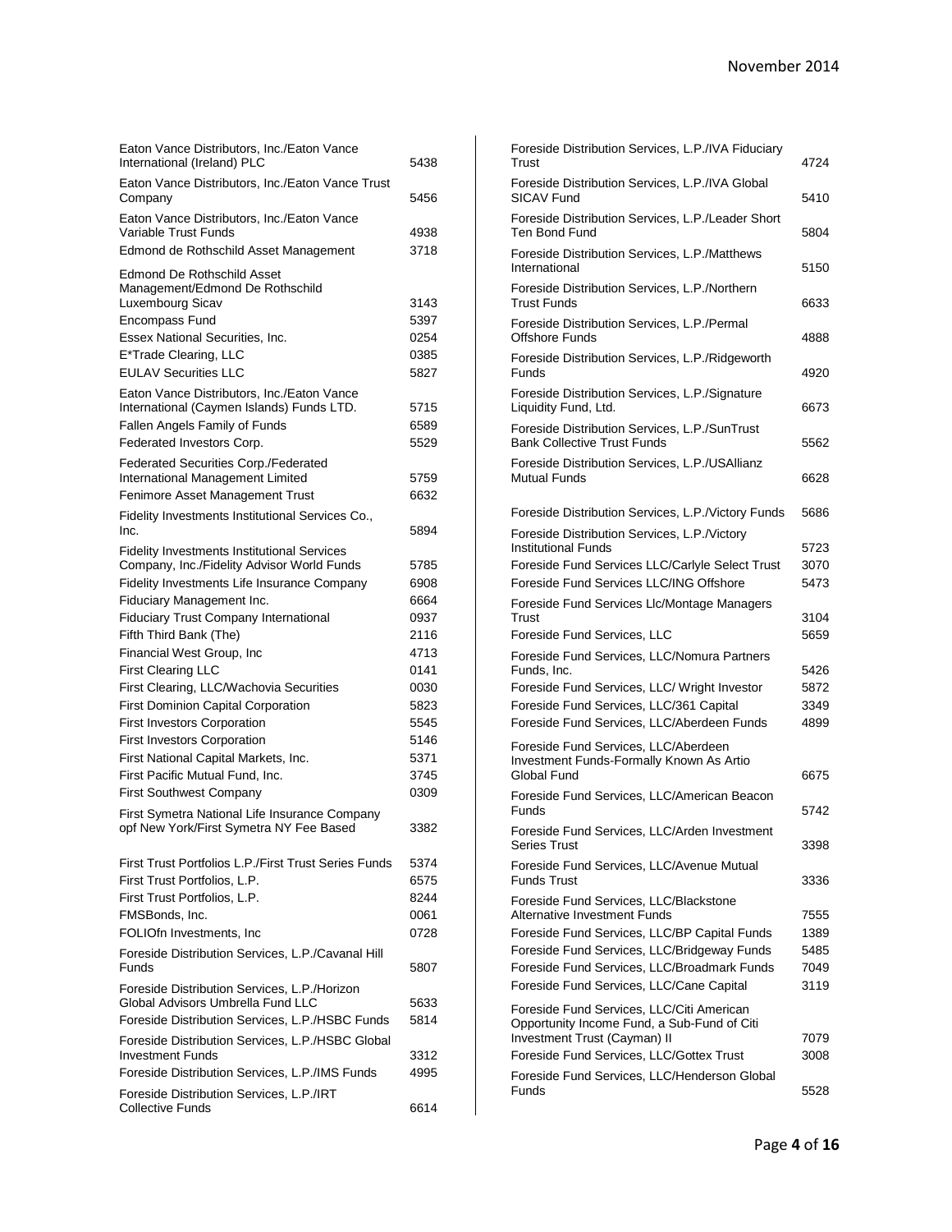| Eaton Vance Distributors, Inc./Eaton Vance<br>International (Ireland) PLC         | 5438         |
|-----------------------------------------------------------------------------------|--------------|
| Eaton Vance Distributors, Inc./Eaton Vance Trust<br>Company                       | 5456         |
| Eaton Vance Distributors, Inc./Eaton Vance                                        |              |
| Variable Trust Funds                                                              | 4938         |
| Edmond de Rothschild Asset Management                                             | 3718         |
| Edmond De Rothschild Asset<br>Management/Edmond De Rothschild                     |              |
| Luxembourg Sicav                                                                  | 3143         |
| Encompass Fund                                                                    | 5397         |
| Essex National Securities, Inc.                                                   | 0254         |
| E*Trade Clearing, LLC                                                             | 0385         |
| <b>EULAV Securities LLC</b>                                                       | 5827         |
| Eaton Vance Distributors, Inc./Eaton Vance                                        |              |
| International (Caymen Islands) Funds LTD.                                         | 5715         |
| Fallen Angels Family of Funds                                                     | 6589         |
| Federated Investors Corp.                                                         | 5529         |
| <b>Federated Securities Corp./Federated</b>                                       |              |
| International Management Limited                                                  | 5759         |
| Fenimore Asset Management Trust                                                   | 6632         |
| Fidelity Investments Institutional Services Co.,<br>Inc.                          | 5894         |
| <b>Fidelity Investments Institutional Services</b>                                |              |
| Company, Inc./Fidelity Advisor World Funds                                        | 5785         |
| Fidelity Investments Life Insurance Company                                       | 6908         |
| Fiduciary Management Inc.                                                         | 6664         |
| <b>Fiduciary Trust Company International</b>                                      | 0937         |
| Fifth Third Bank (The)                                                            | 2116         |
| Financial West Group, Inc                                                         | 4713         |
| <b>First Clearing LLC</b>                                                         | 0141         |
| First Clearing, LLC/Wachovia Securities                                           | 0030         |
| <b>First Dominion Capital Corporation</b>                                         | 5823         |
| <b>First Investors Corporation</b>                                                | 5545         |
| <b>First Investors Corporation</b>                                                | 5146         |
| First National Capital Markets, Inc.                                              | 5371         |
| First Pacific Mutual Fund, Inc.                                                   | 3745         |
| <b>First Southwest Company</b>                                                    | 0309         |
| First Symetra National Life Insurance Company                                     |              |
| opf New York/First Symetra NY Fee Based                                           | 3382         |
| First Trust Portfolios L.P./First Trust Series Funds                              | 5374         |
| First Trust Portfolios, L.P.                                                      | 6575         |
| First Trust Portfolios, L.P.                                                      | 8244         |
| FMSBonds, Inc.                                                                    | 0061         |
| FOLIOfn Investments, Inc.                                                         | 0728         |
| Foreside Distribution Services, L.P./Cavanal Hill<br>Funds                        | 5807         |
|                                                                                   |              |
| Foreside Distribution Services, L.P./Horizon<br>Global Advisors Umbrella Fund LLC | 5633         |
| Foreside Distribution Services, L.P./HSBC Funds                                   | 5814         |
|                                                                                   |              |
| Foreside Distribution Services, L.P./HSBC Global<br>Investment Funds              |              |
|                                                                                   | 3312<br>4995 |
| Foreside Distribution Services, L.P./IMS Funds                                    |              |
| Foreside Distribution Services, L.P./IRT<br><b>Collective Funds</b>               | 6614         |

| Foreside Distribution Services, L.P./IVA Fiduciary                                  |              |
|-------------------------------------------------------------------------------------|--------------|
| Trust                                                                               | 4724         |
| Foreside Distribution Services, L.P./IVA Global<br><b>SICAV Fund</b>                | 5410         |
| Foreside Distribution Services, L.P./Leader Short<br>Ten Bond Fund                  | 5804         |
| Foreside Distribution Services, L.P./Matthews<br>International                      | 5150         |
| Foreside Distribution Services, L.P./Northern<br><b>Trust Funds</b>                 | 6633         |
| Foreside Distribution Services, L.P./Permal<br><b>Offshore Funds</b>                | 4888         |
| Foreside Distribution Services, L.P./Ridgeworth                                     |              |
| Funds<br>Foreside Distribution Services, L.P./Signature                             | 4920         |
| Liquidity Fund, Ltd.                                                                | 6673         |
| Foreside Distribution Services, L.P./SunTrust<br><b>Bank Collective Trust Funds</b> | 5562         |
| Foreside Distribution Services, L.P./USAllianz<br>Mutual Funds                      | 6628         |
|                                                                                     |              |
| Foreside Distribution Services, L.P./Victory Funds                                  | 5686         |
| Foreside Distribution Services, L.P./Victory                                        |              |
| Institutional Funds                                                                 | 5723         |
| Foreside Fund Services LLC/Carlyle Select Trust                                     | 3070         |
| Foreside Fund Services LLC/ING Offshore                                             | 5473         |
| Foreside Fund Services Llc/Montage Managers                                         |              |
| Trust<br>Foreside Fund Services, LLC                                                | 3104<br>5659 |
| Foreside Fund Services, LLC/Nomura Partners                                         |              |
| Funds, Inc.                                                                         | 5426         |
| Foreside Fund Services, LLC/ Wright Investor                                        | 5872         |
| Foreside Fund Services, LLC/361 Capital                                             | 3349         |
| Foreside Fund Services, LLC/Aberdeen Funds                                          | 4899         |
| Foreside Fund Services, LLC/Aberdeen                                                |              |
| Investment Funds-Formally Known As Artio                                            |              |
| Global Fund                                                                         | 6675         |
| Foreside Fund Services, LLC/American Beacon<br>Funds                                | 5742         |
| Foreside Fund Services, LLC/Arden Investment                                        |              |
| Series Trust                                                                        | 3398         |
| Foreside Fund Services, LLC/Avenue Mutual<br><b>Funds Trust</b>                     | 3336         |
|                                                                                     |              |
| Foreside Fund Services, LLC/Blackstone<br>Alternative Investment Funds              | 7555         |
| Foreside Fund Services, LLC/BP Capital Funds                                        | 1389         |
| Foreside Fund Services, LLC/Bridgeway Funds                                         | 5485         |
| Foreside Fund Services, LLC/Broadmark Funds                                         | 7049         |
| Foreside Fund Services, LLC/Cane Capital                                            | 3119         |
| Foreside Fund Services, LLC/Citi American                                           |              |
| Opportunity Income Fund, a Sub-Fund of Citi                                         |              |
| Investment Trust (Cayman) II                                                        | 7079         |
| Foreside Fund Services, LLC/Gottex Trust                                            | 3008         |
| Foreside Fund Services, LLC/Henderson Global<br>Funds                               | 5528         |
|                                                                                     |              |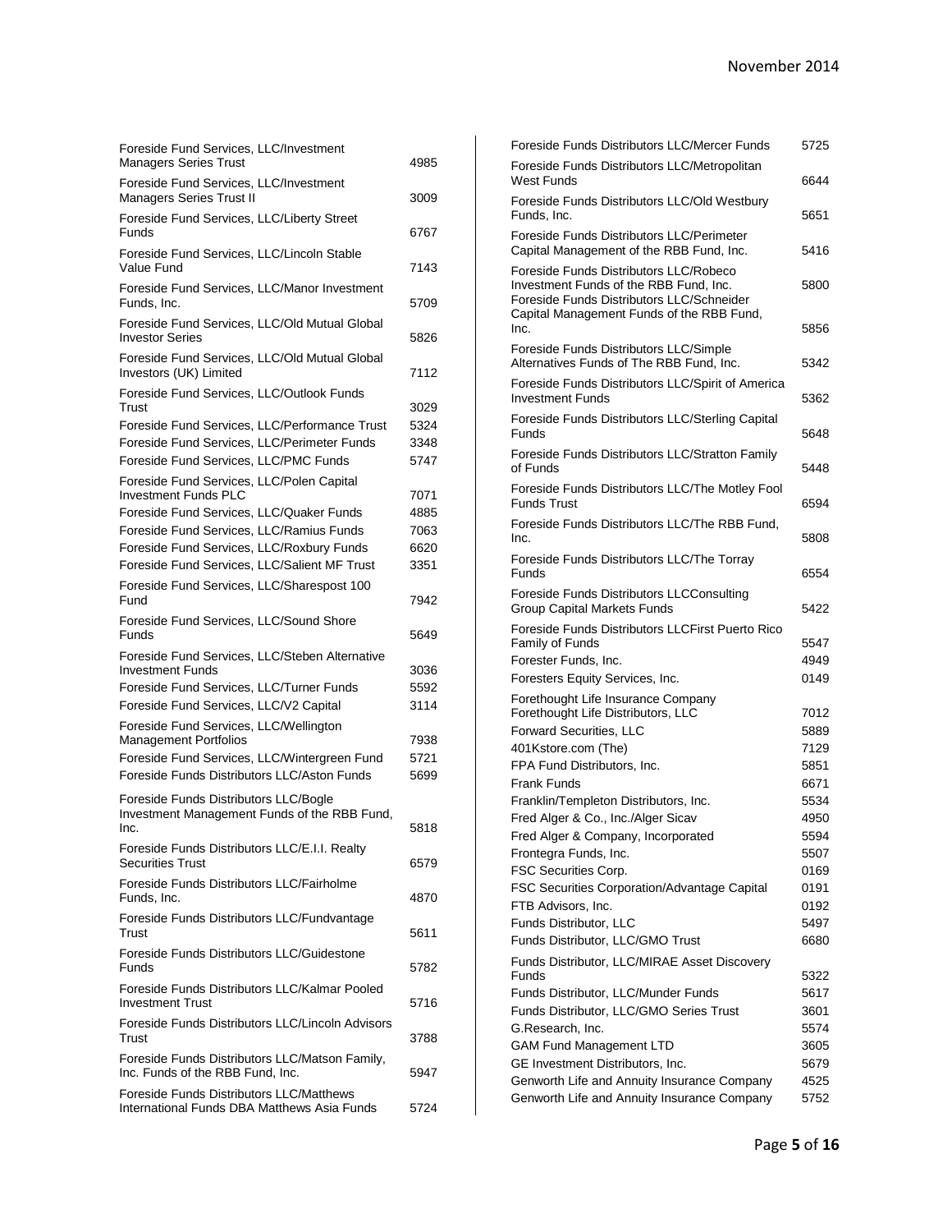| Foreside Fund Services, LLC/Investment<br><b>Managers Series Trust</b>                         | 4985 |
|------------------------------------------------------------------------------------------------|------|
| Foreside Fund Services, LLC/Investment<br>Managers Series Trust II                             | 3009 |
| Foreside Fund Services, LLC/Liberty Street<br>Funds                                            | 6767 |
| Foreside Fund Services, LLC/Lincoln Stable<br>Value Fund                                       | 7143 |
| Foreside Fund Services, LLC/Manor Investment<br>Funds, Inc.                                    | 5709 |
| Foreside Fund Services, LLC/Old Mutual Global<br><b>Investor Series</b>                        | 5826 |
| Foreside Fund Services, LLC/Old Mutual Global<br>Investors (UK) Limited                        | 7112 |
| Foreside Fund Services, LLC/Outlook Funds<br>Trust                                             | 3029 |
| Foreside Fund Services, LLC/Performance Trust                                                  | 5324 |
| Foreside Fund Services, LLC/Perimeter Funds                                                    | 3348 |
| Foreside Fund Services, LLC/PMC Funds                                                          | 5747 |
| Foreside Fund Services, LLC/Polen Capital<br><b>Investment Funds PLC</b>                       | 7071 |
| Foreside Fund Services, LLC/Quaker Funds                                                       | 4885 |
| Foreside Fund Services, LLC/Ramius Funds                                                       | 7063 |
|                                                                                                |      |
| Foreside Fund Services, LLC/Roxbury Funds                                                      | 6620 |
| Foreside Fund Services, LLC/Salient MF Trust                                                   | 3351 |
| Foreside Fund Services, LLC/Sharespost 100<br>Fund                                             | 7942 |
| Foreside Fund Services, LLC/Sound Shore<br>Funds                                               | 5649 |
| Foreside Fund Services, LLC/Steben Alternative<br>Investment Funds                             | 3036 |
| Foreside Fund Services, LLC/Turner Funds                                                       | 5592 |
| Foreside Fund Services, LLC/V2 Capital                                                         | 3114 |
| Foreside Fund Services, LLC/Wellington<br><b>Management Portfolios</b>                         | 7938 |
| Foreside Fund Services, LLC/Wintergreen Fund                                                   | 5721 |
| Foreside Funds Distributors LLC/Aston Funds                                                    | 5699 |
| Foreside Funds Distributors LLC/Bogle<br>Investment Management Funds of the RBB Fund,          |      |
| Inc.                                                                                           | 5818 |
| Foreside Funds Distributors LLC/E.I.I. Realty<br><b>Securities Trust</b>                       | 6579 |
| Foreside Funds Distributors LLC/Fairholme<br>Funds, Inc.                                       | 4870 |
| Foreside Funds Distributors LLC/Fundvantage<br>Trust                                           | 5611 |
| Foreside Funds Distributors LLC/Guidestone<br>Funds                                            | 5782 |
| Foreside Funds Distributors LLC/Kalmar Pooled<br><b>Investment Trust</b>                       | 5716 |
| Foreside Funds Distributors LLC/Lincoln Advisors<br>Trust                                      | 3788 |
| Foreside Funds Distributors LLC/Matson Family,<br>Inc. Funds of the RBB Fund, Inc.             | 5947 |
| <b>Foreside Funds Distributors LLC/Matthews</b><br>International Funds DBA Matthews Asia Funds | 5724 |

| Foreside Funds Distributors LLC/Mercer Funds                                                                                                                               | 5725         |
|----------------------------------------------------------------------------------------------------------------------------------------------------------------------------|--------------|
| Foreside Funds Distributors LLC/Metropolitan<br>West Funds                                                                                                                 | 6644         |
| Foreside Funds Distributors LLC/Old Westbury<br>Funds, Inc.                                                                                                                | 5651         |
| Foreside Funds Distributors LLC/Perimeter<br>Capital Management of the RBB Fund, Inc.                                                                                      | 5416         |
| Foreside Funds Distributors LLC/Robeco<br>Investment Funds of the RBB Fund, Inc.<br>Foreside Funds Distributors LLC/Schneider<br>Capital Management Funds of the RBB Fund, | 5800         |
| Inc.                                                                                                                                                                       | 5856         |
| Foreside Funds Distributors LLC/Simple<br>Alternatives Funds of The RBB Fund, Inc.                                                                                         | 5342         |
| Foreside Funds Distributors LLC/Spirit of America<br>Investment Funds                                                                                                      | 5362         |
| Foreside Funds Distributors LLC/Sterling Capital<br>Funds                                                                                                                  | 5648         |
| Foreside Funds Distributors LLC/Stratton Family<br>of Funds                                                                                                                | 5448         |
| Foreside Funds Distributors LLC/The Motley Fool<br><b>Funds Trust</b>                                                                                                      | 6594         |
| Foreside Funds Distributors LLC/The RBB Fund,<br>Inc.                                                                                                                      | 5808         |
| Foreside Funds Distributors LLC/The Torray<br>Funds                                                                                                                        | 6554         |
| Foreside Funds Distributors LLCConsulting<br><b>Group Capital Markets Funds</b>                                                                                            | 5422         |
| Foreside Funds Distributors LLCFirst Puerto Rico<br>Family of Funds                                                                                                        | 5547         |
| Forester Funds, Inc.                                                                                                                                                       | 4949         |
| Foresters Equity Services, Inc.                                                                                                                                            | 0149         |
| Forethought Life Insurance Company                                                                                                                                         |              |
| Forethought Life Distributors, LLC                                                                                                                                         | 7012         |
| Forward Securities, LLC                                                                                                                                                    | 5889         |
| 401Kstore.com (The)                                                                                                                                                        | 7129         |
| FPA Fund Distributors, Inc.                                                                                                                                                | 5851         |
| <b>Frank Funds</b>                                                                                                                                                         | 6671         |
| Franklin/Templeton Distributors, Inc.                                                                                                                                      | 5534<br>4950 |
| Fred Alger & Co., Inc./Alger Sicav                                                                                                                                         | 5594         |
| Fred Alger & Company, Incorporated<br>Frontegra Funds, Inc.                                                                                                                | 5507         |
| FSC Securities Corp.                                                                                                                                                       | 0169         |
| FSC Securities Corporation/Advantage Capital                                                                                                                               | 0191         |
| FTB Advisors, Inc.                                                                                                                                                         | 0192         |
| Funds Distributor, LLC                                                                                                                                                     | 5497         |
| Funds Distributor, LLC/GMO Trust                                                                                                                                           | 6680         |
| Funds Distributor, LLC/MIRAE Asset Discovery<br>Funds                                                                                                                      | 5322         |
| Funds Distributor, LLC/Munder Funds                                                                                                                                        | 5617         |
| Funds Distributor, LLC/GMO Series Trust                                                                                                                                    | 3601         |
| G.Research, Inc.                                                                                                                                                           | 5574         |
| <b>GAM Fund Management LTD</b>                                                                                                                                             | 3605         |
| GE Investment Distributors, Inc.                                                                                                                                           | 5679         |
| Genworth Life and Annuity Insurance Company                                                                                                                                | 4525         |
| Genworth Life and Annuity Insurance Company                                                                                                                                | 5752         |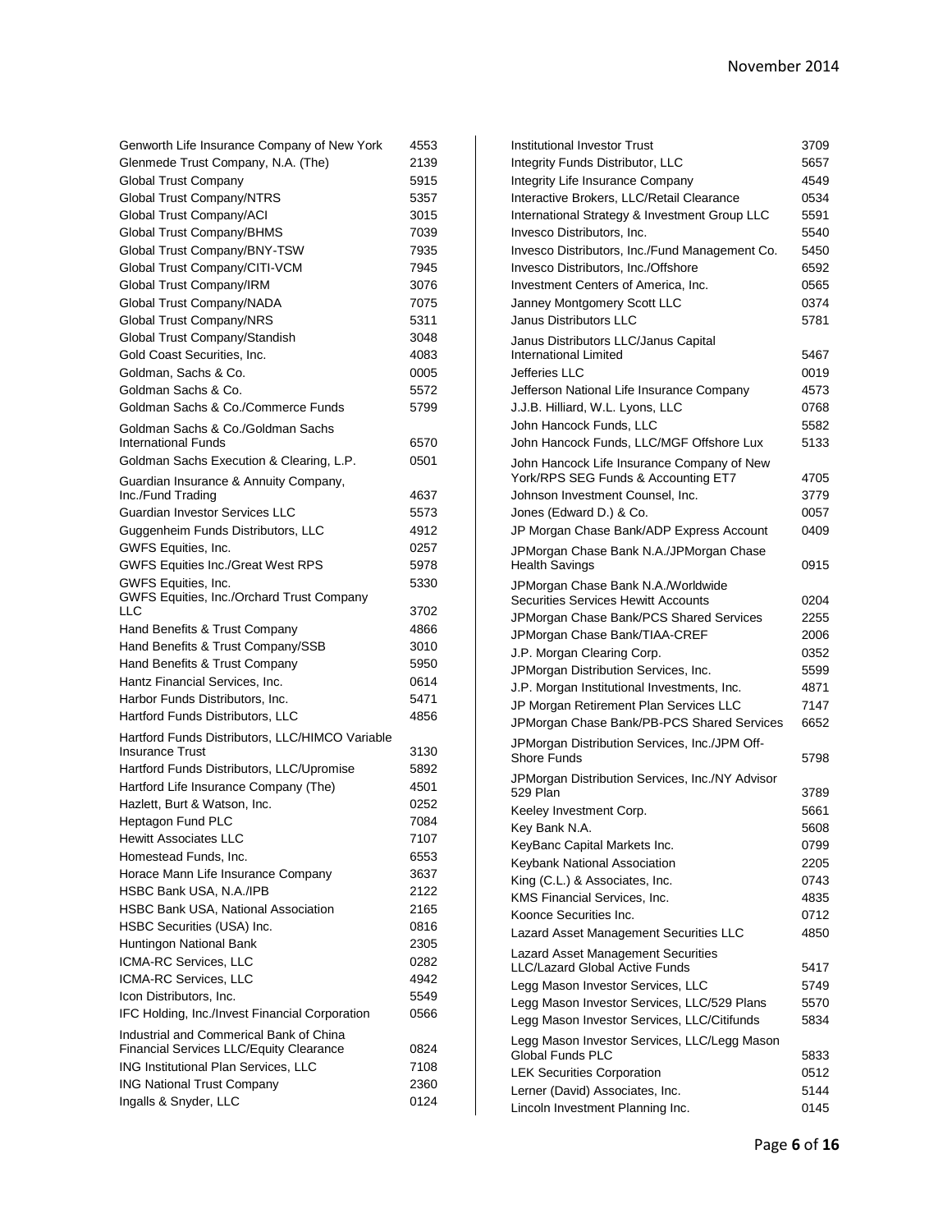| Genworth Life Insurance Company of New York                      | 4553 |
|------------------------------------------------------------------|------|
| Glenmede Trust Company, N.A. (The)                               | 2139 |
| <b>Global Trust Company</b>                                      | 5915 |
| Global Trust Company/NTRS                                        | 5357 |
| Global Trust Company/ACI                                         | 3015 |
| Global Trust Company/BHMS                                        | 7039 |
| Global Trust Company/BNY-TSW                                     | 7935 |
| Global Trust Company/CITI-VCM                                    | 7945 |
| Global Trust Company/IRM                                         | 3076 |
| Global Trust Company/NADA                                        | 7075 |
| Global Trust Company/NRS                                         | 5311 |
| Global Trust Company/Standish                                    | 3048 |
| Gold Coast Securities, Inc.                                      | 4083 |
| Goldman, Sachs & Co.                                             | 0005 |
| Goldman Sachs & Co.                                              | 5572 |
| Goldman Sachs & Co./Commerce Funds                               | 5799 |
| Goldman Sachs & Co./Goldman Sachs                                |      |
| <b>International Funds</b>                                       | 6570 |
| Goldman Sachs Execution & Clearing, L.P.                         | 0501 |
| Guardian Insurance & Annuity Company,                            |      |
| Inc./Fund Trading                                                | 4637 |
| <b>Guardian Investor Services LLC</b>                            | 5573 |
| Guggenheim Funds Distributors, LLC                               | 4912 |
| GWFS Equities, Inc.                                              | 0257 |
| <b>GWFS Equities Inc./Great West RPS</b>                         | 5978 |
| GWFS Equities, Inc.<br>GWFS Equities, Inc./Orchard Trust Company | 5330 |
| LLC                                                              | 3702 |
| Hand Benefits & Trust Company                                    | 4866 |
| Hand Benefits & Trust Company/SSB                                | 3010 |
| Hand Benefits & Trust Company                                    | 5950 |
| Hantz Financial Services, Inc.                                   | 0614 |
| Harbor Funds Distributors, Inc.                                  | 5471 |
| Hartford Funds Distributors, LLC                                 | 4856 |
| Hartford Funds Distributors, LLC/HIMCO Variable                  |      |
| <b>Insurance Trust</b>                                           | 3130 |
| Hartford Funds Distributors, LLC/Upromise                        | 5892 |
| Hartford Life Insurance Company (The)                            | 4501 |
| Hazlett, Burt & Watson, Inc.                                     | 0252 |
| <b>Heptagon Fund PLC</b>                                         | 7084 |
| Hewitt Associates LLC                                            | 7107 |
| Homestead Funds, Inc.                                            | 6553 |
| Horace Mann Life Insurance Company                               | 3637 |
| HSBC Bank USA, N.A./IPB                                          | 2122 |
| <b>HSBC Bank USA, National Association</b>                       | 2165 |
| HSBC Securities (USA) Inc.                                       | 0816 |
| Huntingon National Bank                                          | 2305 |
| ICMA-RC Services, LLC                                            | 0282 |
| ICMA-RC Services, LLC                                            | 4942 |
| Icon Distributors, Inc.                                          | 5549 |
| IFC Holding, Inc./Invest Financial Corporation                   | 0566 |
| Industrial and Commerical Bank of China                          |      |
| <b>Financial Services LLC/Equity Clearance</b>                   | 0824 |
| ING Institutional Plan Services, LLC                             | 7108 |
| <b>ING National Trust Company</b>                                | 2360 |
| Ingalls & Snyder, LLC                                            | 0124 |
|                                                                  |      |

| <b>Institutional Investor Trust</b>                                         | 3709 |
|-----------------------------------------------------------------------------|------|
| Integrity Funds Distributor, LLC                                            | 5657 |
| Integrity Life Insurance Company                                            | 4549 |
| Interactive Brokers, LLC/Retail Clearance                                   | 0534 |
| International Strategy & Investment Group LLC                               | 5591 |
| Invesco Distributors, Inc.                                                  | 5540 |
| Invesco Distributors, Inc./Fund Management Co.                              | 5450 |
| Invesco Distributors, Inc./Offshore                                         | 6592 |
| Investment Centers of America, Inc.                                         | 0565 |
| Janney Montgomery Scott LLC                                                 | 0374 |
| <b>Janus Distributors LLC</b>                                               | 5781 |
| Janus Distributors LLC/Janus Capital<br>International Limited               | 5467 |
| Jefferies LLC                                                               | 0019 |
| Jefferson National Life Insurance Company                                   | 4573 |
| J.J.B. Hilliard, W.L. Lyons, LLC                                            | 0768 |
| John Hancock Funds, LLC                                                     | 5582 |
| John Hancock Funds, LLC/MGF Offshore Lux                                    | 5133 |
| John Hancock Life Insurance Company of New                                  |      |
| York/RPS SEG Funds & Accounting ET7                                         | 4705 |
| Johnson Investment Counsel, Inc.                                            | 3779 |
| Jones (Edward D.) & Co.                                                     | 0057 |
| JP Morgan Chase Bank/ADP Express Account                                    | 0409 |
| JPMorgan Chase Bank N.A./JPMorgan Chase<br><b>Health Savings</b>            | 0915 |
| JPMorgan Chase Bank N.A./Worldwide                                          |      |
| <b>Securities Services Hewitt Accounts</b>                                  | 0204 |
| JPMorgan Chase Bank/PCS Shared Services                                     | 2255 |
| JPMorgan Chase Bank/TIAA-CREF                                               | 2006 |
| J.P. Morgan Clearing Corp.                                                  | 0352 |
| JPMorgan Distribution Services, Inc.                                        | 5599 |
| J.P. Morgan Institutional Investments, Inc.                                 | 4871 |
| JP Morgan Retirement Plan Services LLC                                      | 7147 |
| JPMorgan Chase Bank/PB-PCS Shared Services                                  | 6652 |
| JPMorgan Distribution Services, Inc./JPM Off-                               |      |
| Shore Funds                                                                 | 5798 |
| JPMorgan Distribution Services, Inc./NY Advisor                             |      |
| 529 Plan                                                                    | 3789 |
| Keeley Investment Corp.                                                     | 5661 |
| Key Bank N.A.                                                               | 5608 |
| KeyBanc Capital Markets Inc.                                                | 0799 |
| Keybank National Association                                                | 2205 |
| King (C.L.) & Associates, Inc.                                              | 0743 |
| KMS Financial Services, Inc.                                                | 4835 |
| Koonce Securities Inc.                                                      | 0712 |
| Lazard Asset Management Securities LLC                                      | 4850 |
| <b>Lazard Asset Management Securities</b><br>LLC/Lazard Global Active Funds | 5417 |
| Legg Mason Investor Services, LLC                                           | 5749 |
| Legg Mason Investor Services, LLC/529 Plans                                 | 5570 |
| Legg Mason Investor Services, LLC/Citifunds                                 | 5834 |
|                                                                             |      |
| Legg Mason Investor Services, LLC/Legg Mason<br><b>Global Funds PLC</b>     | 5833 |
| <b>LEK Securities Corporation</b>                                           | 0512 |
| Lerner (David) Associates, Inc.                                             | 5144 |
| Lincoln Investment Planning Inc.                                            | 0145 |
|                                                                             |      |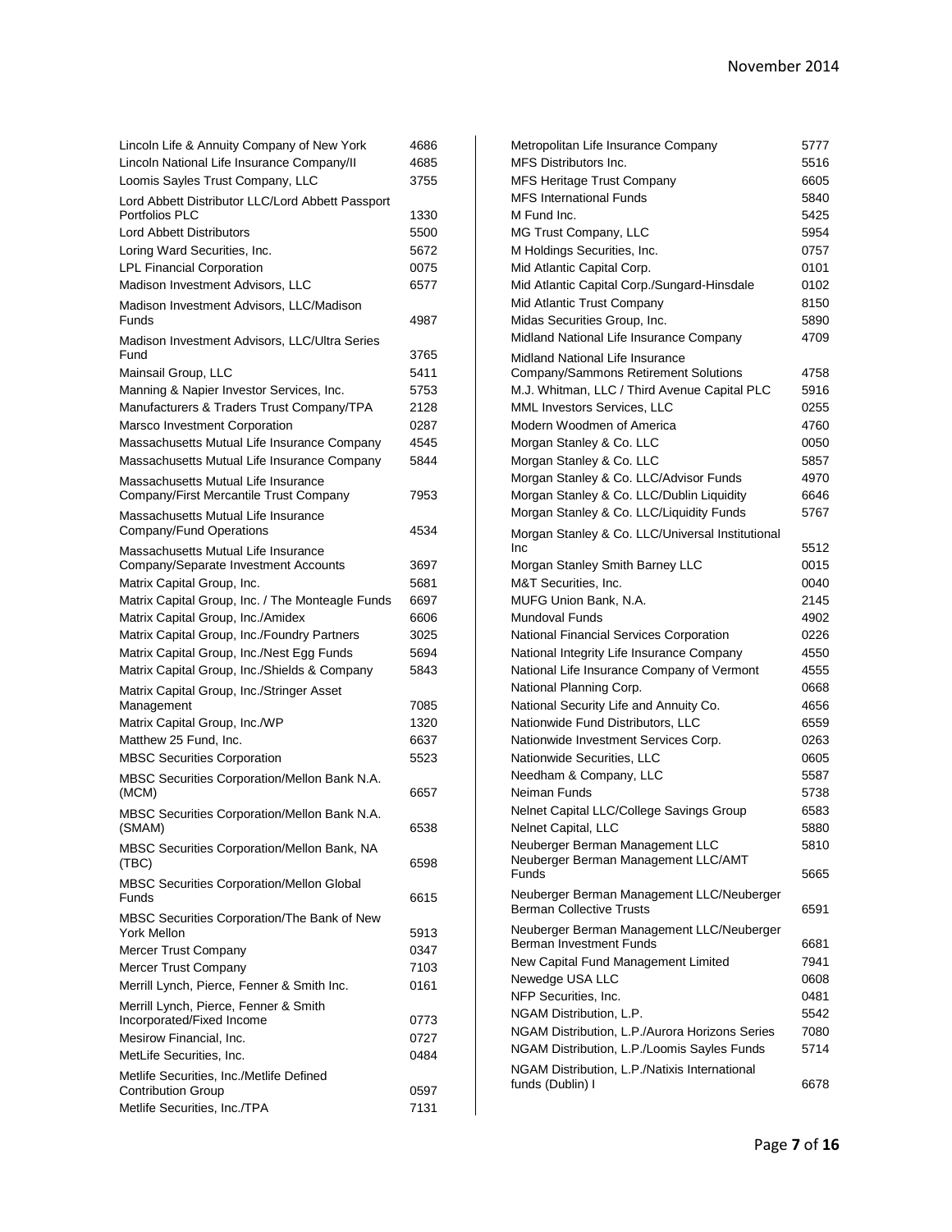| Lincoln Life & Annuity Company of New York                         | 4686 |
|--------------------------------------------------------------------|------|
| Lincoln National Life Insurance Company/II                         | 4685 |
| Loomis Sayles Trust Company, LLC                                   | 3755 |
| Lord Abbett Distributor LLC/Lord Abbett Passport                   |      |
| Portfolios PLC                                                     | 1330 |
| <b>Lord Abbett Distributors</b>                                    | 5500 |
| Loring Ward Securities, Inc.                                       | 5672 |
| <b>LPL Financial Corporation</b>                                   | 0075 |
| Madison Investment Advisors, LLC                                   | 6577 |
| Madison Investment Advisors, LLC/Madison<br>Funds                  | 4987 |
| Madison Investment Advisors, LLC/Ultra Series<br>Fund              | 3765 |
| Mainsail Group, LLC                                                | 5411 |
| Manning & Napier Investor Services, Inc.                           | 5753 |
| Manufacturers & Traders Trust Company/TPA                          | 2128 |
| Marsco Investment Corporation                                      | 0287 |
| Massachusetts Mutual Life Insurance Company                        | 4545 |
| Massachusetts Mutual Life Insurance Company                        | 5844 |
| Massachusetts Mutual Life Insurance                                |      |
| Company/First Mercantile Trust Company                             | 7953 |
| Massachusetts Mutual Life Insurance<br>Company/Fund Operations     | 4534 |
| Massachusetts Mutual Life Insurance                                |      |
| Company/Separate Investment Accounts                               | 3697 |
| Matrix Capital Group, Inc.                                         | 5681 |
| Matrix Capital Group, Inc. / The Monteagle Funds                   | 6697 |
| Matrix Capital Group, Inc./Amidex                                  | 6606 |
| Matrix Capital Group, Inc./Foundry Partners                        | 3025 |
| Matrix Capital Group, Inc./Nest Egg Funds                          | 5694 |
| Matrix Capital Group, Inc./Shields & Company                       | 5843 |
| Matrix Capital Group, Inc./Stringer Asset<br>Management            | 7085 |
| Matrix Capital Group, Inc./WP                                      | 1320 |
| Matthew 25 Fund, Inc.                                              | 6637 |
| <b>MBSC Securities Corporation</b>                                 | 5523 |
| MBSC Securities Corporation/Mellon Bank N.A.                       |      |
| (MCM)                                                              | 6657 |
| MBSC Securities Corporation/Mellon Bank N.A.                       |      |
| (SMAM)                                                             | 6538 |
| MBSC Securities Corporation/Mellon Bank, NA                        |      |
| (TBC)                                                              | 6598 |
| <b>MBSC Securities Corporation/Mellon Global</b><br><b>Funds</b>   | 6615 |
| MBSC Securities Corporation/The Bank of New                        |      |
| <b>York Mellon</b>                                                 | 5913 |
| Mercer Trust Company                                               | 0347 |
| Mercer Trust Company                                               | 7103 |
| Merrill Lynch, Pierce, Fenner & Smith Inc.                         | 0161 |
| Merrill Lynch, Pierce, Fenner & Smith<br>Incorporated/Fixed Income | 0773 |
| Mesirow Financial, Inc.                                            | 0727 |
| MetLife Securities, Inc.                                           | 0484 |
| Metlife Securities, Inc./Metlife Defined                           |      |
| <b>Contribution Group</b>                                          | 0597 |
| Metlife Securities, Inc./TPA                                       | 7131 |

| Metropolitan Life Insurance Company                                     | 5777 |
|-------------------------------------------------------------------------|------|
| MFS Distributors Inc.                                                   | 5516 |
| <b>MFS Heritage Trust Company</b>                                       | 6605 |
| <b>MFS International Funds</b>                                          | 5840 |
| M Fund Inc.                                                             | 5425 |
| MG Trust Company, LLC                                                   | 5954 |
| M Holdings Securities, Inc.                                             | 0757 |
| Mid Atlantic Capital Corp.                                              | 0101 |
| Mid Atlantic Capital Corp./Sungard-Hinsdale                             | 0102 |
| Mid Atlantic Trust Company                                              | 8150 |
| Midas Securities Group, Inc.                                            | 5890 |
| Midland National Life Insurance Company                                 | 4709 |
| Midland National Life Insurance<br>Company/Sammons Retirement Solutions | 4758 |
| M.J. Whitman, LLC / Third Avenue Capital PLC                            | 5916 |
| MML Investors Services, LLC                                             | 0255 |
| Modern Woodmen of America                                               | 4760 |
| Morgan Stanley & Co. LLC                                                | 0050 |
| Morgan Stanley & Co. LLC                                                | 5857 |
| Morgan Stanley & Co. LLC/Advisor Funds                                  | 4970 |
| Morgan Stanley & Co. LLC/Dublin Liquidity                               | 6646 |
| Morgan Stanley & Co. LLC/Liquidity Funds                                | 5767 |
|                                                                         |      |
| Morgan Stanley & Co. LLC/Universal Institutional<br>Inc                 | 5512 |
| Morgan Stanley Smith Barney LLC                                         | 0015 |
| M&T Securities, Inc.                                                    | 0040 |
| MUFG Union Bank, N.A.                                                   | 2145 |
| Mundoval Funds                                                          | 4902 |
| National Financial Services Corporation                                 | 0226 |
| National Integrity Life Insurance Company                               | 4550 |
| National Life Insurance Company of Vermont                              | 4555 |
| National Planning Corp.                                                 | 0668 |
| National Security Life and Annuity Co.                                  | 4656 |
| Nationwide Fund Distributors, LLC                                       | 6559 |
| Nationwide Investment Services Corp.                                    | 0263 |
| Nationwide Securities, LLC                                              | 0605 |
| Needham & Company, LLC                                                  | 5587 |
| Neiman Funds                                                            | 5738 |
| Nelnet Capital LLC/College Savings Group                                | 6583 |
| Nelnet Capital, LLC                                                     | 5880 |
| Neuberger Berman Management LLC                                         | 5810 |
| Neuberger Berman Management LLC/AMT                                     |      |
| Funds                                                                   | 5665 |
| Neuberger Berman Management LLC/Neuberger                               |      |
| <b>Berman Collective Trusts</b>                                         | 6591 |
| Neuberger Berman Management LLC/Neuberger<br>Berman Investment Funds    |      |
|                                                                         | 6681 |
| New Capital Fund Management Limited                                     | 7941 |
| Newedge USA LLC                                                         | 0608 |
| NFP Securities, Inc.                                                    | 0481 |
| NGAM Distribution, L.P.                                                 | 5542 |
| NGAM Distribution, L.P./Aurora Horizons Series                          | 7080 |
| NGAM Distribution, L.P./Loomis Sayles Funds                             | 5714 |
| NGAM Distribution, L.P./Natixis International<br>funds (Dublin) I       | 6678 |
|                                                                         |      |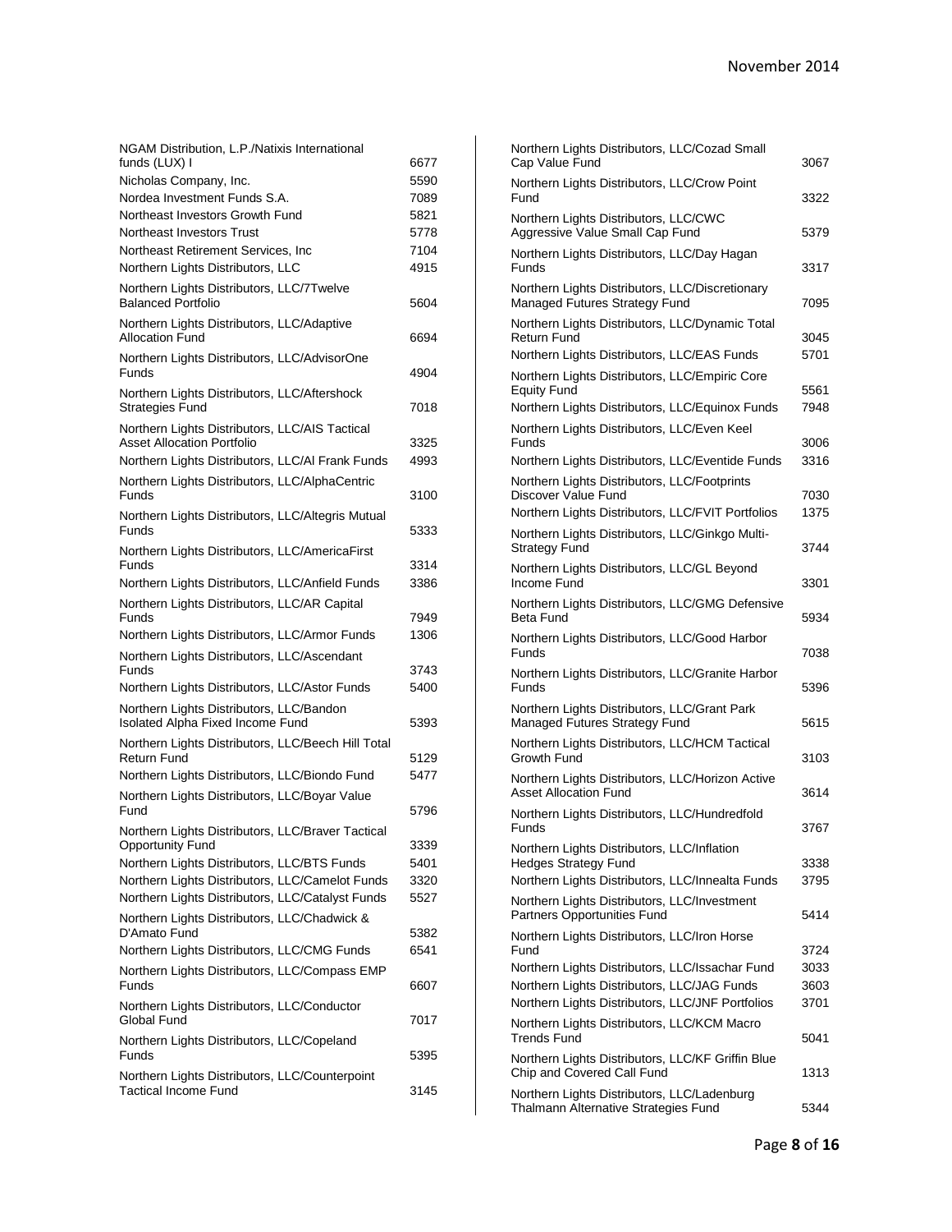| NGAM Distribution, L.P./Natixis International                                 |      |
|-------------------------------------------------------------------------------|------|
| funds (LUX) I                                                                 | 6677 |
| Nicholas Company, Inc.                                                        | 5590 |
| Nordea Investment Funds S.A.                                                  | 7089 |
| Northeast Investors Growth Fund                                               | 5821 |
| Northeast Investors Trust                                                     | 5778 |
| Northeast Retirement Services, Inc.                                           | 7104 |
| Northern Lights Distributors, LLC                                             | 4915 |
| Northern Lights Distributors, LLC/7Twelve                                     |      |
| <b>Balanced Portfolio</b>                                                     | 5604 |
| Northern Lights Distributors, LLC/Adaptive                                    |      |
| <b>Allocation Fund</b>                                                        | 6694 |
| Northern Lights Distributors, LLC/AdvisorOne<br>Funds                         | 4904 |
| Northern Lights Distributors, LLC/Aftershock                                  |      |
| <b>Strategies Fund</b>                                                        | 7018 |
| Northern Lights Distributors, LLC/AIS Tactical                                |      |
| <b>Asset Allocation Portfolio</b>                                             | 3325 |
| Northern Lights Distributors, LLC/AI Frank Funds                              | 4993 |
| Northern Lights Distributors, LLC/AlphaCentric                                |      |
| Funds                                                                         | 3100 |
| Northern Lights Distributors, LLC/Altegris Mutual                             |      |
| <b>Funds</b>                                                                  | 5333 |
| Northern Lights Distributors, LLC/AmericaFirst                                |      |
| Funds                                                                         | 3314 |
| Northern Lights Distributors, LLC/Anfield Funds                               | 3386 |
| Northern Lights Distributors, LLC/AR Capital                                  |      |
| Funds                                                                         | 7949 |
| Northern Lights Distributors, LLC/Armor Funds                                 | 1306 |
|                                                                               |      |
|                                                                               |      |
| Northern Lights Distributors, LLC/Ascendant<br>Funds                          | 3743 |
|                                                                               | 5400 |
| Northern Lights Distributors, LLC/Astor Funds                                 |      |
| Northern Lights Distributors, LLC/Bandon                                      |      |
| Isolated Alpha Fixed Income Fund                                              | 5393 |
| Northern Lights Distributors, LLC/Beech Hill Total<br>Return Fund             |      |
|                                                                               | 5129 |
| Northern Lights Distributors, LLC/Biondo Fund                                 | 5477 |
| Northern Lights Distributors, LLC/Boyar Value                                 |      |
| Fund                                                                          | 5796 |
| Northern Lights Distributors, LLC/Braver Tactical                             |      |
| <b>Opportunity Fund</b>                                                       | 3339 |
| Northern Lights Distributors, LLC/BTS Funds                                   | 5401 |
| Northern Lights Distributors, LLC/Camelot Funds                               | 3320 |
| Northern Lights Distributors, LLC/Catalyst Funds                              | 5527 |
| Northern Lights Distributors, LLC/Chadwick &                                  |      |
| D'Amato Fund                                                                  | 5382 |
| Northern Lights Distributors, LLC/CMG Funds                                   | 6541 |
| Northern Lights Distributors, LLC/Compass EMP                                 |      |
| Funds                                                                         | 6607 |
| Northern Lights Distributors, LLC/Conductor                                   |      |
| Global Fund                                                                   | 7017 |
| Northern Lights Distributors, LLC/Copeland                                    |      |
| Funds                                                                         | 5395 |
| Northern Lights Distributors, LLC/Counterpoint<br><b>Tactical Income Fund</b> | 3145 |

| Northern Lights Distributors, LLC/Cozad Small<br>Cap Value Fund                     | 3067 |
|-------------------------------------------------------------------------------------|------|
| Northern Lights Distributors, LLC/Crow Point<br>Fund                                | 3322 |
| Northern Lights Distributors, LLC/CWC<br>Aggressive Value Small Cap Fund            | 5379 |
| Northern Lights Distributors, LLC/Day Hagan<br>Funds                                | 3317 |
| Northern Lights Distributors, LLC/Discretionary<br>Managed Futures Strategy Fund    | 7095 |
| Northern Lights Distributors, LLC/Dynamic Total<br><b>Return Fund</b>               | 3045 |
| Northern Lights Distributors, LLC/EAS Funds                                         | 5701 |
| Northern Lights Distributors, LLC/Empiric Core                                      |      |
| <b>Equity Fund</b>                                                                  | 5561 |
| Northern Lights Distributors, LLC/Equinox Funds                                     | 7948 |
| Northern Lights Distributors, LLC/Even Keel                                         |      |
| Funds                                                                               | 3006 |
| Northern Lights Distributors, LLC/Eventide Funds                                    | 3316 |
| Northern Lights Distributors, LLC/Footprints<br>Discover Value Fund                 | 7030 |
| Northern Lights Distributors, LLC/FVIT Portfolios                                   | 1375 |
| Northern Lights Distributors, LLC/Ginkgo Multi-<br><b>Strategy Fund</b>             | 3744 |
| Northern Lights Distributors, LLC/GL Beyond<br>Income Fund                          | 3301 |
| Northern Lights Distributors, LLC/GMG Defensive<br>Beta Fund                        | 5934 |
| Northern Lights Distributors, LLC/Good Harbor<br>Funds                              | 7038 |
| Northern Lights Distributors, LLC/Granite Harbor<br>Funds                           | 5396 |
| Northern Lights Distributors, LLC/Grant Park<br>Managed Futures Strategy Fund       | 5615 |
| Northern Lights Distributors, LLC/HCM Tactical                                      |      |
| Growth Fund                                                                         | 3103 |
| Northern Lights Distributors, LLC/Horizon Active<br><b>Asset Allocation Fund</b>    | 3614 |
| Northern Lights Distributors, LLC/Hundredfold<br>Funds                              | 3767 |
| Northern Lights Distributors, LLC/Inflation                                         |      |
| <b>Hedges Strategy Fund</b>                                                         | 3338 |
| Northern Lights Distributors, LLC/Innealta Funds                                    | 3795 |
| Northern Lights Distributors, LLC/Investment<br>Partners Opportunities Fund         | 5414 |
| Northern Lights Distributors, LLC/Iron Horse<br>Fund                                | 3724 |
| Northern Lights Distributors, LLC/Issachar Fund                                     | 3033 |
| Northern Lights Distributors, LLC/JAG Funds                                         | 3603 |
| Northern Lights Distributors, LLC/JNF Portfolios                                    | 3701 |
| Northern Lights Distributors, LLC/KCM Macro<br><b>Trends Fund</b>                   | 5041 |
| Northern Lights Distributors, LLC/KF Griffin Blue                                   |      |
| Chip and Covered Call Fund                                                          | 1313 |
| Northern Lights Distributors, LLC/Ladenburg<br>Thalmann Alternative Strategies Fund | 5344 |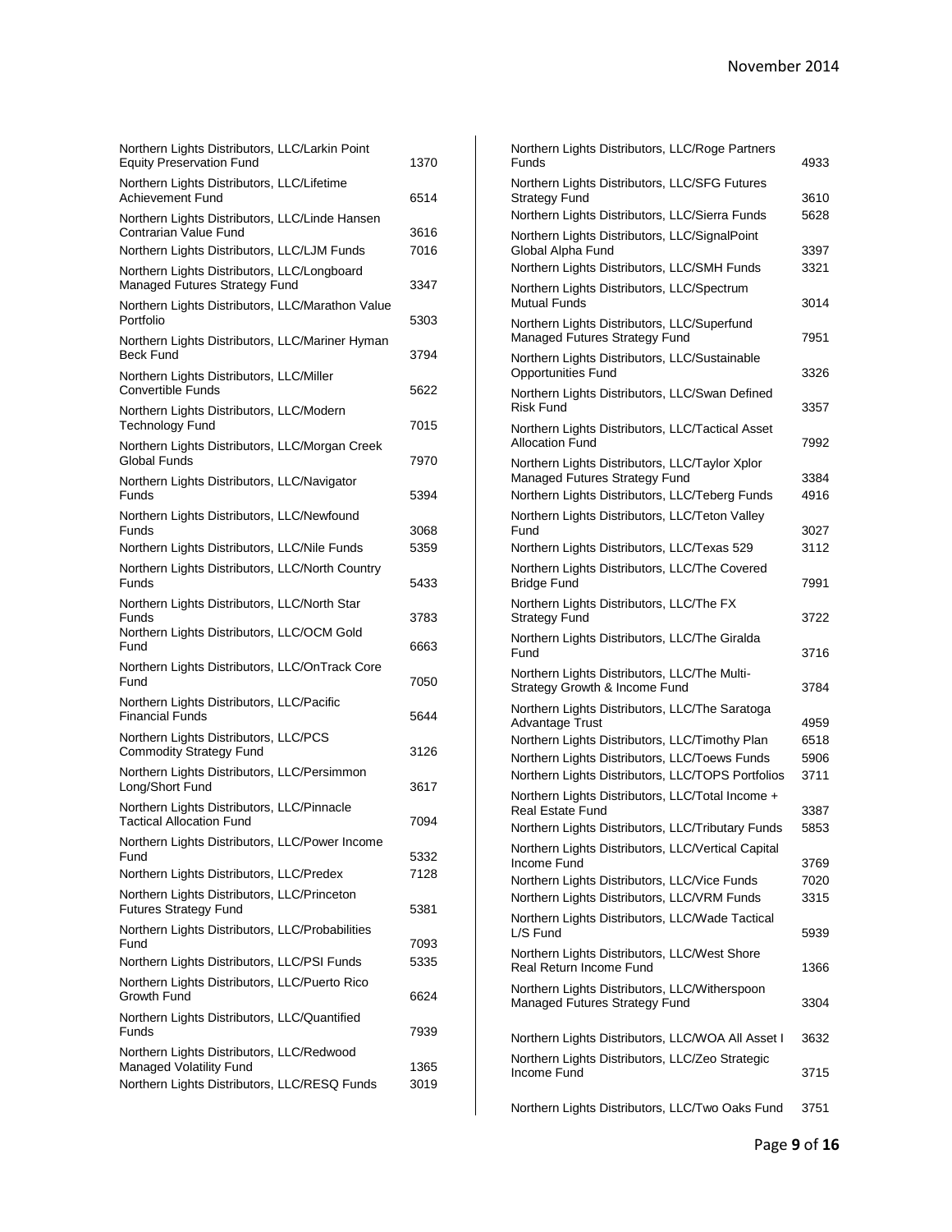| Northern Lights Distributors, LLC/Larkin Point<br><b>Equity Preservation Fund</b> | 1370         |
|-----------------------------------------------------------------------------------|--------------|
| Northern Lights Distributors, LLC/Lifetime<br><b>Achievement Fund</b>             | 6514         |
| Northern Lights Distributors, LLC/Linde Hansen<br>Contrarian Value Fund           | 3616         |
| Northern Lights Distributors, LLC/LJM Funds                                       | 7016         |
| Northern Lights Distributors, LLC/Longboard<br>Managed Futures Strategy Fund      | 3347         |
| Northern Lights Distributors, LLC/Marathon Value<br>Portfolio                     | 5303         |
| Northern Lights Distributors, LLC/Mariner Hyman<br><b>Beck Fund</b>               | 3794         |
| Northern Lights Distributors, LLC/Miller<br><b>Convertible Funds</b>              | 5622         |
| Northern Lights Distributors, LLC/Modern<br><b>Technology Fund</b>                | 7015         |
| Northern Lights Distributors, LLC/Morgan Creek<br><b>Global Funds</b>             | 7970         |
| Northern Lights Distributors, LLC/Navigator<br>Funds                              | 5394         |
| Northern Lights Distributors, LLC/Newfound<br>Funds                               | 3068         |
| Northern Lights Distributors, LLC/Nile Funds                                      | 5359         |
| Northern Lights Distributors, LLC/North Country<br>Funds                          | 5433         |
| Northern Lights Distributors, LLC/North Star                                      |              |
| Funds<br>Northern Lights Distributors, LLC/OCM Gold<br>Fund                       | 3783<br>6663 |
| Northern Lights Distributors, LLC/OnTrack Core<br>Fund                            | 7050         |
| Northern Lights Distributors, LLC/Pacific<br><b>Financial Funds</b>               | 5644         |
| Northern Lights Distributors, LLC/PCS<br><b>Commodity Strategy Fund</b>           | 3126         |
| Northern Lights Distributors, LLC/Persimmon<br>Long/Short Fund                    | 3617         |
| Northern Lights Distributors, LLC/Pinnacle<br><b>Tactical Allocation Fund</b>     | 7094         |
| Northern Lights Distributors, LLC/Power Income<br>Fund                            | 5332         |
| Northern Lights Distributors, LLC/Predex                                          | 7128         |
| Northern Lights Distributors, LLC/Princeton<br><b>Futures Strategy Fund</b>       | 5381         |
| Northern Lights Distributors, LLC/Probabilities<br>Fund                           |              |
| Northern Lights Distributors, LLC/PSI Funds                                       | 7093<br>5335 |
| Northern Lights Distributors, LLC/Puerto Rico<br>Growth Fund                      | 6624         |
| Northern Lights Distributors, LLC/Quantified<br>Funds                             | 7939         |
| Northern Lights Distributors, LLC/Redwood                                         |              |
| Managed Volatility Fund<br>Northern Lights Distributors, LLC/RESQ Funds           | 1365<br>3019 |
|                                                                                   |              |

| Northern Lights Distributors, LLC/Roge Partners<br>Funds                                              | 4933         |
|-------------------------------------------------------------------------------------------------------|--------------|
| Northern Lights Distributors, LLC/SFG Futures                                                         |              |
| <b>Strategy Fund</b><br>Northern Lights Distributors, LLC/Sierra Funds                                | 3610<br>5628 |
| Northern Lights Distributors, LLC/SignalPoint<br>Global Alpha Fund                                    | 3397         |
| Northern Lights Distributors, LLC/SMH Funds                                                           | 3321         |
| Northern Lights Distributors, LLC/Spectrum<br>Mutual Funds                                            | 3014         |
| Northern Lights Distributors, LLC/Superfund<br>Managed Futures Strategy Fund                          | 7951         |
| Northern Lights Distributors, LLC/Sustainable<br><b>Opportunities Fund</b>                            | 3326         |
| Northern Lights Distributors, LLC/Swan Defined<br><b>Risk Fund</b>                                    | 3357         |
| Northern Lights Distributors, LLC/Tactical Asset<br><b>Allocation Fund</b>                            | 7992         |
| Northern Lights Distributors, LLC/Taylor Xplor<br>Managed Futures Strategy Fund                       | 3384         |
| Northern Lights Distributors, LLC/Teberg Funds                                                        | 4916         |
| Northern Lights Distributors, LLC/Teton Valley<br>Fund                                                | 3027         |
| Northern Lights Distributors, LLC/Texas 529                                                           | 3112         |
| Northern Lights Distributors, LLC/The Covered<br><b>Bridge Fund</b>                                   | 7991         |
| Northern Lights Distributors, LLC/The FX<br>Strategy Fund                                             | 3722         |
| Northern Lights Distributors, LLC/The Giralda<br>Fund                                                 | 3716         |
| Northern Lights Distributors, LLC/The Multi-<br>Strategy Growth & Income Fund                         | 3784         |
| Northern Lights Distributors, LLC/The Saratoga<br><b>Advantage Trust</b>                              | 4959         |
| Northern Lights Distributors, LLC/Timothy Plan                                                        | 6518         |
| Northern Lights Distributors, LLC/Toews Funds                                                         | 5906         |
| Northern Lights Distributors, LLC/TOPS Portfolios<br>Northern Lights Distributors, LLC/Total Income + | 3711         |
| <b>Real Estate Fund</b>                                                                               | 3387         |
| Northern Lights Distributors, LLC/Tributary Funds                                                     | 5853         |
| Northern Lights Distributors, LLC/Vertical Capital<br>Income Fund                                     | 3769         |
| Northern Lights Distributors, LLC/Vice Funds                                                          | 7020         |
| Northern Lights Distributors, LLC/VRM Funds                                                           | 3315         |
| Northern Lights Distributors, LLC/Wade Tactical<br>L/S Fund                                           | 5939         |
| Northern Lights Distributors, LLC/West Shore<br>Real Return Income Fund                               | 1366         |
| Northern Lights Distributors, LLC/Witherspoon<br>Managed Futures Strategy Fund                        | 3304         |
| Northern Lights Distributors, LLC/WOA All Asset I                                                     | 3632         |
| Northern Lights Distributors, LLC/Zeo Strategic<br>Income Fund                                        | 3715         |
| Northern Lights Distributors, LLC/Two Oaks Fund                                                       | 3751         |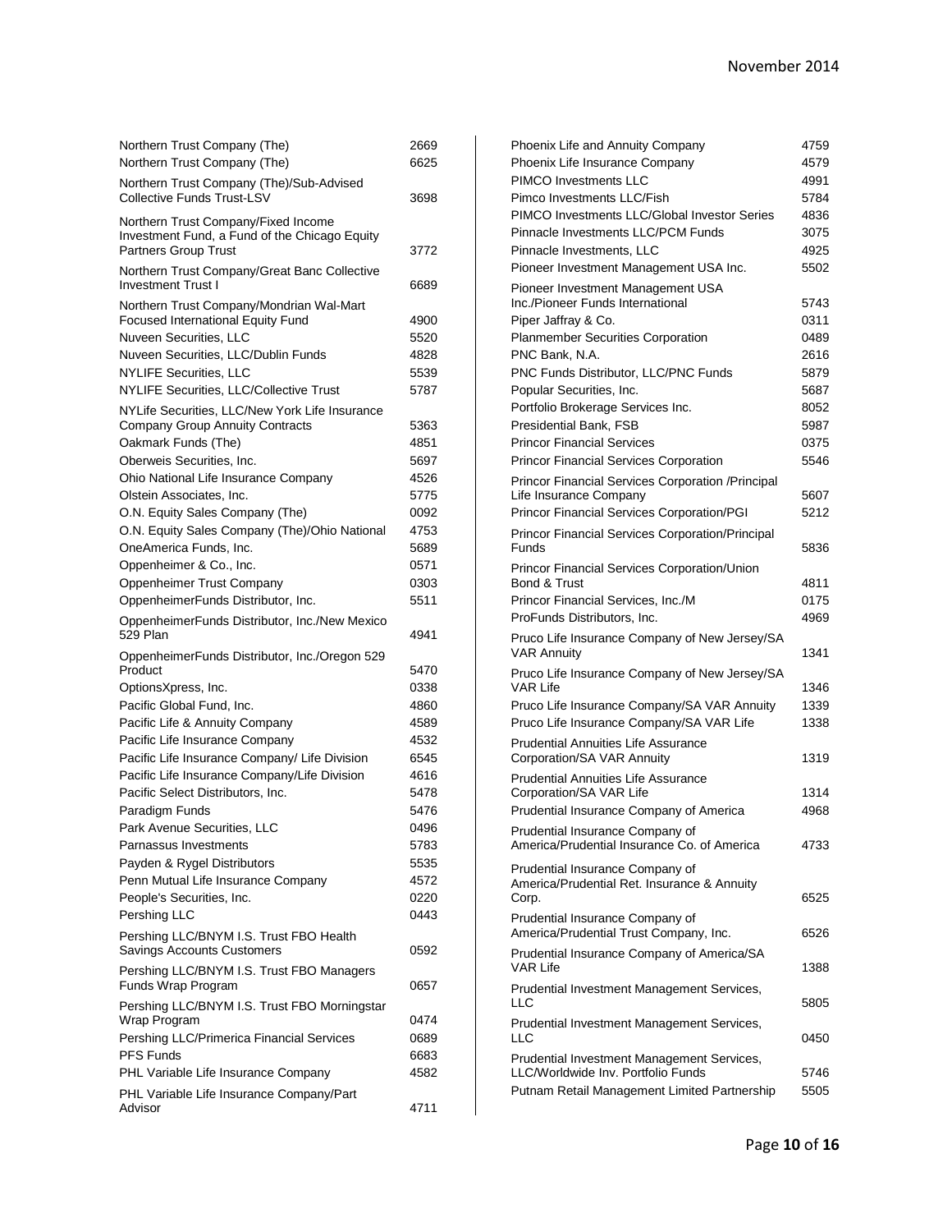| Northern Trust Company (The)                                                  | 2669 |
|-------------------------------------------------------------------------------|------|
| Northern Trust Company (The)                                                  | 6625 |
| Northern Trust Company (The)/Sub-Advised<br><b>Collective Funds Trust-LSV</b> | 3698 |
| Northern Trust Company/Fixed Income                                           |      |
| Investment Fund, a Fund of the Chicago Equity<br><b>Partners Group Trust</b>  | 3772 |
| Northern Trust Company/Great Banc Collective<br><b>Investment Trust I</b>     | 6689 |
| Northern Trust Company/Mondrian Wal-Mart                                      |      |
| Focused International Equity Fund                                             | 4900 |
| Nuveen Securities, LLC                                                        | 5520 |
| Nuveen Securities, LLC/Dublin Funds                                           | 4828 |
| NYLIFE Securities, LLC                                                        | 5539 |
| NYLIFE Securities, LLC/Collective Trust                                       | 5787 |
| NYLife Securities, LLC/New York Life Insurance                                |      |
| <b>Company Group Annuity Contracts</b>                                        | 5363 |
| Oakmark Funds (The)                                                           | 4851 |
| Oberweis Securities, Inc.                                                     | 5697 |
| Ohio National Life Insurance Company                                          | 4526 |
| Olstein Associates, Inc.                                                      | 5775 |
| O.N. Equity Sales Company (The)                                               | 0092 |
| O.N. Equity Sales Company (The)/Ohio National                                 | 4753 |
| OneAmerica Funds, Inc.                                                        | 5689 |
| Oppenheimer & Co., Inc.                                                       | 0571 |
| Oppenheimer Trust Company                                                     | 0303 |
| OppenheimerFunds Distributor, Inc.                                            | 5511 |
| OppenheimerFunds Distributor, Inc./New Mexico<br>529 Plan                     | 4941 |
| OppenheimerFunds Distributor, Inc./Oregon 529                                 |      |
|                                                                               |      |
| Product                                                                       | 5470 |
| OptionsXpress, Inc.                                                           | 0338 |
| Pacific Global Fund, Inc.                                                     | 4860 |
| Pacific Life & Annuity Company                                                | 4589 |
| Pacific Life Insurance Company                                                | 4532 |
| Pacific Life Insurance Company/ Life Division                                 | 6545 |
| Pacific Life Insurance Company/Life Division                                  | 4616 |
| Pacific Select Distributors, Inc.                                             | 5478 |
| Paradigm Funds                                                                | 5476 |
| Park Avenue Securities, LLC                                                   | 0496 |
| Parnassus Investments                                                         | 5783 |
| Payden & Rygel Distributors                                                   | 5535 |
| Penn Mutual Life Insurance Company                                            | 4572 |
| People's Securities, Inc.                                                     | 0220 |
| Pershing LLC                                                                  | 0443 |
|                                                                               |      |
| Pershing LLC/BNYM I.S. Trust FBO Health<br>Savings Accounts Customers         | 0592 |
| Pershing LLC/BNYM I.S. Trust FBO Managers<br>Funds Wrap Program               | 0657 |
| Pershing LLC/BNYM I.S. Trust FBO Morningstar<br>Wrap Program                  | 0474 |
| Pershing LLC/Primerica Financial Services                                     | 0689 |
| <b>PFS Funds</b>                                                              | 6683 |
| PHL Variable Life Insurance Company                                           | 4582 |
| PHL Variable Life Insurance Company/Part                                      |      |

| Phoenix Life and Annuity Company                                                        | 4759 |
|-----------------------------------------------------------------------------------------|------|
| Phoenix Life Insurance Company                                                          | 4579 |
| <b>PIMCO Investments LLC</b>                                                            | 4991 |
| Pimco Investments LLC/Fish                                                              | 5784 |
| PIMCO Investments LLC/Global Investor Series                                            | 4836 |
| Pinnacle Investments LLC/PCM Funds                                                      | 3075 |
| Pinnacle Investments, LLC                                                               | 4925 |
| Pioneer Investment Management USA Inc.                                                  | 5502 |
| Pioneer Investment Management USA                                                       |      |
| Inc./Pioneer Funds International                                                        | 5743 |
| Piper Jaffray & Co.                                                                     | 0311 |
| <b>Planmember Securities Corporation</b>                                                | 0489 |
| PNC Bank, N.A.                                                                          | 2616 |
| PNC Funds Distributor, LLC/PNC Funds                                                    | 5879 |
| Popular Securities, Inc.                                                                | 5687 |
| Portfolio Brokerage Services Inc.                                                       | 8052 |
| Presidential Bank, FSB                                                                  | 5987 |
| <b>Princor Financial Services</b>                                                       | 0375 |
| <b>Princor Financial Services Corporation</b>                                           | 5546 |
| Princor Financial Services Corporation / Principal                                      |      |
| Life Insurance Company                                                                  | 5607 |
| <b>Princor Financial Services Corporation/PGI</b>                                       | 5212 |
| <b>Princor Financial Services Corporation/Principal</b>                                 |      |
| Funds                                                                                   | 5836 |
| Princor Financial Services Corporation/Union                                            |      |
| Bond & Trust                                                                            | 4811 |
| Princor Financial Services, Inc./M                                                      | 0175 |
| ProFunds Distributors, Inc.                                                             | 4969 |
| Pruco Life Insurance Company of New Jersey/SA<br><b>VAR Annuity</b>                     | 1341 |
| Pruco Life Insurance Company of New Jersey/SA<br><b>VAR Life</b>                        | 1346 |
| Pruco Life Insurance Company/SA VAR Annuity                                             | 1339 |
| Pruco Life Insurance Company/SA VAR Life                                                | 1338 |
| <b>Prudential Annuities Life Assurance</b>                                              |      |
| Corporation/SA VAR Annuity                                                              | 1319 |
| <b>Prudential Annuities Life Assurance</b><br>Corporation/SA VAR Life                   | 1314 |
|                                                                                         | 4968 |
| Prudential Insurance Company of America                                                 |      |
| Prudential Insurance Company of<br>America/Prudential Insurance Co. of America          | 4733 |
| Prudential Insurance Company of<br>America/Prudential Ret. Insurance & Annuity<br>Corp. | 6525 |
| Prudential Insurance Company of                                                         |      |
| America/Prudential Trust Company, Inc.                                                  | 6526 |
| Prudential Insurance Company of America/SA<br>VAR Life                                  | 1388 |
| Prudential Investment Management Services,<br>LLC                                       | 5805 |
| Prudential Investment Management Services,                                              |      |
| LLC                                                                                     | 0450 |
| Prudential Investment Management Services,                                              |      |
| LLC/Worldwide Inv. Portfolio Funds                                                      | 5746 |
| Putnam Retail Management Limited Partnership                                            | 5505 |
|                                                                                         |      |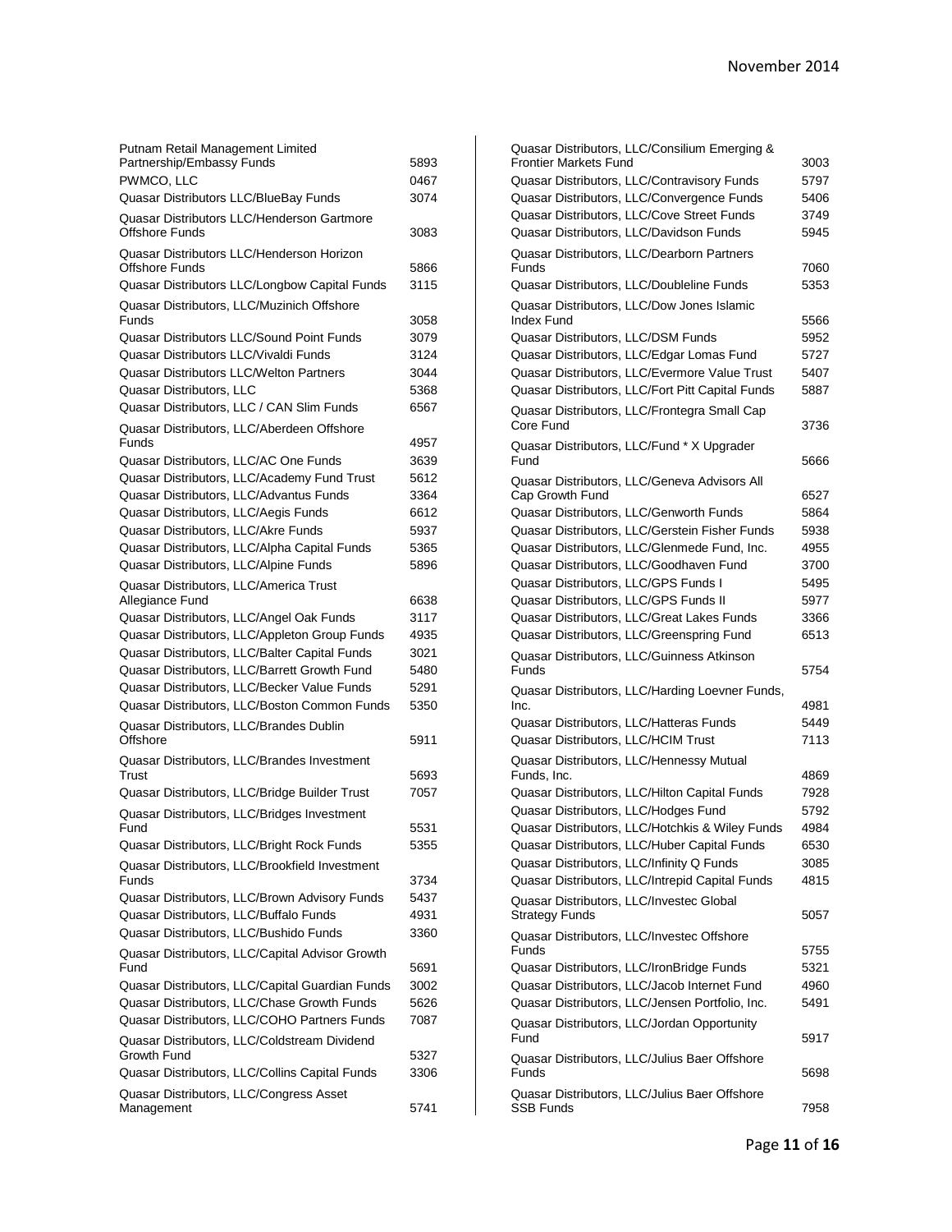| Putnam Retail Management Limited                             |              |
|--------------------------------------------------------------|--------------|
| Partnership/Embassy Funds                                    | 5893         |
| PWMCO, LLC                                                   | 0467<br>3074 |
| Quasar Distributors LLC/BlueBay Funds                        |              |
| Quasar Distributors LLC/Henderson Gartmore<br>Offshore Funds | 3083         |
| Quasar Distributors LLC/Henderson Horizon<br>Offshore Funds  | 5866         |
| Quasar Distributors LLC/Longbow Capital Funds                | 3115         |
| Quasar Distributors, LLC/Muzinich Offshore<br>Funds          | 3058         |
| Quasar Distributors LLC/Sound Point Funds                    | 3079         |
| Quasar Distributors LLC/Vivaldi Funds                        | 3124         |
| Quasar Distributors LLC/Welton Partners                      | 3044         |
| Quasar Distributors, LLC                                     | 5368         |
| Quasar Distributors, LLC / CAN Slim Funds                    | 6567         |
| Quasar Distributors, LLC/Aberdeen Offshore<br><b>Funds</b>   | 4957         |
| Quasar Distributors, LLC/AC One Funds                        | 3639         |
| Quasar Distributors, LLC/Academy Fund Trust                  | 5612         |
| Quasar Distributors, LLC/Advantus Funds                      | 3364         |
| Quasar Distributors, LLC/Aegis Funds                         | 6612         |
| Quasar Distributors, LLC/Akre Funds                          | 5937         |
| Quasar Distributors, LLC/Alpha Capital Funds                 | 5365         |
| Quasar Distributors, LLC/Alpine Funds                        | 5896         |
| Quasar Distributors, LLC/America Trust<br>Allegiance Fund    | 6638         |
| Quasar Distributors, LLC/Angel Oak Funds                     | 3117         |
| Quasar Distributors, LLC/Appleton Group Funds                | 4935         |
| Quasar Distributors, LLC/Balter Capital Funds                | 3021         |
| Quasar Distributors, LLC/Barrett Growth Fund                 | 5480         |
| Quasar Distributors, LLC/Becker Value Funds                  | 5291         |
| Quasar Distributors, LLC/Boston Common Funds                 | 5350         |
| Quasar Distributors, LLC/Brandes Dublin<br>Offshore          | 5911         |
| Quasar Distributors, LLC/Brandes Investment                  |              |
| Trust                                                        | 5693         |
| Quasar Distributors, LLC/Bridge Builder Trust                | 7057         |
| Quasar Distributors, LLC/Bridges Investment                  |              |
| Fund                                                         | 5531         |
| Quasar Distributors, LLC/Bright Rock Funds                   | 5355         |
| Quasar Distributors, LLC/Brookfield Investment<br>Funds      | 3734         |
| Quasar Distributors, LLC/Brown Advisory Funds                | 5437         |
| Quasar Distributors, LLC/Buffalo Funds                       | 4931         |
| Quasar Distributors, LLC/Bushido Funds                       | 3360         |
|                                                              |              |
| Quasar Distributors, LLC/Capital Advisor Growth<br>Fund      | 5691         |
| Quasar Distributors, LLC/Capital Guardian Funds              | 3002         |
| Quasar Distributors, LLC/Chase Growth Funds                  | 5626         |
| Quasar Distributors, LLC/COHO Partners Funds                 | 7087         |
| Quasar Distributors, LLC/Coldstream Dividend<br>Growth Fund  | 5327         |
| Quasar Distributors, LLC/Collins Capital Funds               | 3306         |
| Quasar Distributors, LLC/Congress Asset<br>Management        | 5741         |
|                                                              |              |

| Quasar Distributors, LLC/Consilium Emerging &                                         |              |
|---------------------------------------------------------------------------------------|--------------|
| <b>Frontier Markets Fund</b>                                                          | 3003         |
| Quasar Distributors, LLC/Contravisory Funds                                           | 5797         |
| Quasar Distributors, LLC/Convergence Funds                                            | 5406         |
| Quasar Distributors, LLC/Cove Street Funds<br>Quasar Distributors, LLC/Davidson Funds | 3749<br>5945 |
|                                                                                       |              |
| Quasar Distributors, LLC/Dearborn Partners<br>Funds                                   | 7060         |
| Quasar Distributors, LLC/Doubleline Funds                                             | 5353         |
| Quasar Distributors, LLC/Dow Jones Islamic<br>Index Fund                              | 5566         |
| Quasar Distributors, LLC/DSM Funds                                                    | 5952         |
| Quasar Distributors, LLC/Edgar Lomas Fund                                             | 5727         |
| Quasar Distributors, LLC/Evermore Value Trust                                         | 5407         |
| Quasar Distributors, LLC/Fort Pitt Capital Funds                                      | 5887         |
| Quasar Distributors, LLC/Frontegra Small Cap<br>Core Fund                             | 3736         |
| Quasar Distributors, LLC/Fund * X Upgrader                                            |              |
| Fund                                                                                  | 5666         |
| Quasar Distributors, LLC/Geneva Advisors All                                          |              |
| Cap Growth Fund                                                                       | 6527         |
| Quasar Distributors, LLC/Genworth Funds                                               | 5864         |
| Quasar Distributors, LLC/Gerstein Fisher Funds                                        | 5938         |
| Quasar Distributors, LLC/Glenmede Fund, Inc.                                          | 4955         |
| Quasar Distributors, LLC/Goodhaven Fund                                               | 3700         |
| Quasar Distributors, LLC/GPS Funds I                                                  | 5495         |
| Quasar Distributors, LLC/GPS Funds II                                                 | 5977         |
| Quasar Distributors, LLC/Great Lakes Funds                                            | 3366         |
| Quasar Distributors, LLC/Greenspring Fund                                             | 6513         |
| Quasar Distributors, LLC/Guinness Atkinson                                            |              |
| Funds                                                                                 | 5754         |
| Quasar Distributors, LLC/Harding Loevner Funds,                                       |              |
| Inc.                                                                                  | 4981         |
| Quasar Distributors, LLC/Hatteras Funds                                               | 5449         |
| Quasar Distributors, LLC/HCIM Trust                                                   | 7113         |
| Quasar Distributors, LLC/Hennessy Mutual                                              |              |
| Funds, Inc.                                                                           | 4869         |
| Quasar Distributors, LLC/Hilton Capital Funds                                         | 7928         |
| Quasar Distributors, LLC/Hodges Fund                                                  | 5792         |
| Quasar Distributors, LLC/Hotchkis & Wiley Funds                                       | 4984         |
| Quasar Distributors, LLC/Huber Capital Funds                                          | 6530         |
| Quasar Distributors, LLC/Infinity Q Funds                                             | 3085         |
| Quasar Distributors, LLC/Intrepid Capital Funds                                       | 4815         |
| Quasar Distributors, LLC/Investec Global<br><b>Strategy Funds</b>                     | 5057         |
| Quasar Distributors, LLC/Investec Offshore                                            |              |
| Funds                                                                                 | 5755         |
| Quasar Distributors, LLC/IronBridge Funds                                             | 5321         |
| Quasar Distributors, LLC/Jacob Internet Fund                                          | 4960         |
| Quasar Distributors, LLC/Jensen Portfolio, Inc.                                       | 5491         |
| Quasar Distributors, LLC/Jordan Opportunity                                           |              |
| Fund                                                                                  | 5917         |
| Quasar Distributors, LLC/Julius Baer Offshore                                         |              |
| Funds                                                                                 | 5698         |
| Quasar Distributors, LLC/Julius Baer Offshore                                         |              |
| SSB Funds                                                                             | 7958         |
|                                                                                       |              |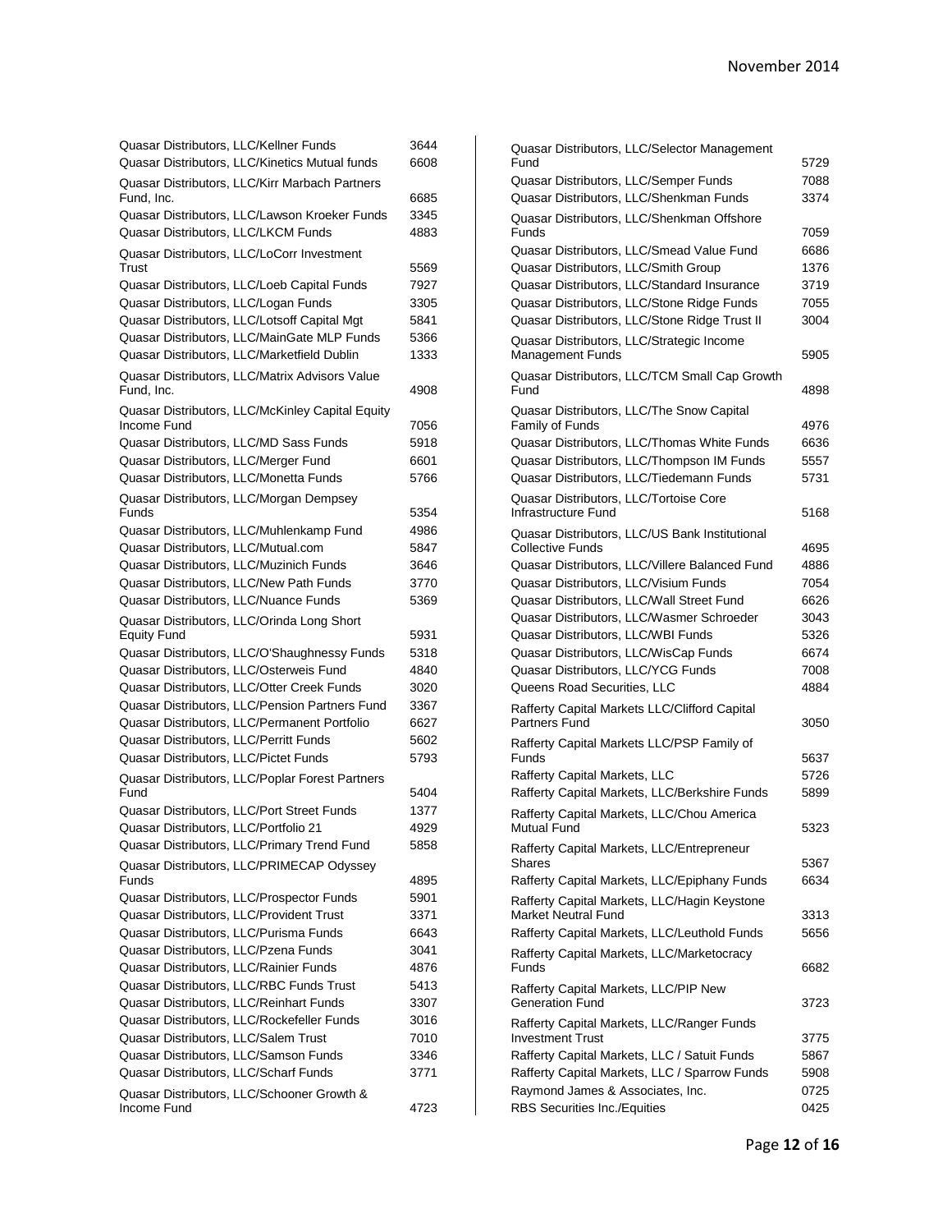| Quasar Distributors, LLC/Kellner Funds                                                     | 3644         |
|--------------------------------------------------------------------------------------------|--------------|
| Quasar Distributors, LLC/Kinetics Mutual funds                                             | 6608         |
| Quasar Distributors, LLC/Kirr Marbach Partners<br>Fund, Inc.                               | 6685         |
| Quasar Distributors, LLC/Lawson Kroeker Funds                                              | 3345         |
| Quasar Distributors, LLC/LKCM Funds                                                        | 4883         |
| Quasar Distributors, LLC/LoCorr Investment                                                 |              |
| Trust                                                                                      | 5569         |
| Quasar Distributors, LLC/Loeb Capital Funds                                                | 7927         |
| Quasar Distributors, LLC/Logan Funds<br>Quasar Distributors, LLC/Lotsoff Capital Mgt       | 3305         |
|                                                                                            | 5841<br>5366 |
| Quasar Distributors, LLC/MainGate MLP Funds<br>Quasar Distributors, LLC/Marketfield Dublin |              |
|                                                                                            | 1333         |
| Quasar Distributors, LLC/Matrix Advisors Value<br>Fund, Inc.                               | 4908         |
| Quasar Distributors, LLC/McKinley Capital Equity                                           |              |
| Income Fund                                                                                | 7056         |
| Quasar Distributors, LLC/MD Sass Funds                                                     | 5918         |
| Quasar Distributors, LLC/Merger Fund                                                       | 6601         |
| Quasar Distributors, LLC/Monetta Funds                                                     | 5766         |
| Quasar Distributors, LLC/Morgan Dempsey<br>Funds                                           | 5354         |
| Quasar Distributors, LLC/Muhlenkamp Fund                                                   | 4986         |
| Quasar Distributors, LLC/Mutual.com                                                        | 5847         |
| Quasar Distributors, LLC/Muzinich Funds                                                    | 3646         |
| Quasar Distributors, LLC/New Path Funds                                                    | 3770         |
| Quasar Distributors, LLC/Nuance Funds                                                      | 5369         |
| Quasar Distributors, LLC/Orinda Long Short                                                 |              |
| <b>Equity Fund</b>                                                                         | 5931         |
| Quasar Distributors, LLC/O'Shaughnessy Funds                                               | 5318         |
| Quasar Distributors, LLC/Osterweis Fund                                                    | 4840         |
| Quasar Distributors, LLC/Otter Creek Funds                                                 | 3020         |
| Quasar Distributors, LLC/Pension Partners Fund                                             | 3367         |
| Quasar Distributors, LLC/Permanent Portfolio                                               | 6627         |
| Quasar Distributors, LLC/Perritt Funds                                                     | 5602         |
| Quasar Distributors, LLC/Pictet Funds                                                      | 5793         |
| Quasar Distributors, LLC/Poplar Forest Partners<br>Fund                                    |              |
| Quasar Distributors, LLC/Port Street Funds                                                 | 5404         |
|                                                                                            | 1377         |
| Quasar Distributors, LLC/Portfolio 21<br>Quasar Distributors, LLC/Primary Trend Fund       | 4929<br>5858 |
| Quasar Distributors, LLC/PRIMECAP Odyssey                                                  |              |
| Funds                                                                                      | 4895         |
| Quasar Distributors, LLC/Prospector Funds                                                  | 5901         |
| Quasar Distributors, LLC/Provident Trust                                                   | 3371         |
| Quasar Distributors, LLC/Purisma Funds                                                     | 6643         |
| Quasar Distributors, LLC/Pzena Funds                                                       | 3041         |
| Quasar Distributors, LLC/Rainier Funds                                                     | 4876         |
| Quasar Distributors, LLC/RBC Funds Trust                                                   | 5413         |
| Quasar Distributors, LLC/Reinhart Funds                                                    | 3307         |
| Quasar Distributors, LLC/Rockefeller Funds                                                 | 3016         |
| Quasar Distributors, LLC/Salem Trust                                                       | 7010         |
| Quasar Distributors, LLC/Samson Funds                                                      | 3346         |
| Quasar Distributors, LLC/Scharf Funds                                                      | 3771         |
| Quasar Distributors, LLC/Schooner Growth &                                                 |              |
| Income Fund                                                                                | 4723         |

| Quasar Distributors, LLC/Selector Management                                      |              |
|-----------------------------------------------------------------------------------|--------------|
| Fund                                                                              | 5729         |
| Quasar Distributors, LLC/Semper Funds                                             | 7088         |
| Quasar Distributors, LLC/Shenkman Funds                                           | 3374         |
| Quasar Distributors, LLC/Shenkman Offshore                                        |              |
| Funds<br>Quasar Distributors, LLC/Smead Value Fund                                | 7059<br>6686 |
| Quasar Distributors, LLC/Smith Group                                              | 1376         |
| Quasar Distributors, LLC/Standard Insurance                                       | 3719         |
| Quasar Distributors, LLC/Stone Ridge Funds                                        | 7055         |
| Quasar Distributors, LLC/Stone Ridge Trust II                                     | 3004         |
| Quasar Distributors, LLC/Strategic Income                                         |              |
| <b>Management Funds</b>                                                           | 5905         |
| Quasar Distributors, LLC/TCM Small Cap Growth                                     |              |
| Fund                                                                              | 4898         |
| Quasar Distributors, LLC/The Snow Capital                                         |              |
| Family of Funds                                                                   | 4976         |
| Quasar Distributors, LLC/Thomas White Funds                                       | 6636         |
| Quasar Distributors, LLC/Thompson IM Funds                                        | 5557         |
| Quasar Distributors, LLC/Tiedemann Funds                                          | 5731         |
| Quasar Distributors, LLC/Tortoise Core                                            |              |
| Infrastructure Fund                                                               | 5168         |
| Quasar Distributors, LLC/US Bank Institutional<br><b>Collective Funds</b>         | 4695         |
| Quasar Distributors, LLC/Villere Balanced Fund                                    | 4886         |
| Quasar Distributors, LLC/Visium Funds                                             | 7054         |
| Quasar Distributors, LLC/Wall Street Fund                                         | 6626         |
| Quasar Distributors, LLC/Wasmer Schroeder                                         | 3043         |
| Quasar Distributors, LLC/WBI Funds                                                | 5326         |
| Quasar Distributors, LLC/WisCap Funds                                             | 6674         |
| Quasar Distributors, LLC/YCG Funds                                                | 7008         |
| Queens Road Securities, LLC                                                       | 4884         |
| Rafferty Capital Markets LLC/Clifford Capital                                     |              |
| Partners Fund                                                                     | 3050         |
| Rafferty Capital Markets LLC/PSP Family of                                        |              |
| Funds                                                                             | 5637         |
| Rafferty Capital Markets, LLC                                                     | 5726         |
| Rafferty Capital Markets, LLC/Berkshire Funds                                     | 5899         |
| Rafferty Capital Markets, LLC/Chou America<br>Mutual Fund                         | 5323         |
|                                                                                   |              |
| Rafferty Capital Markets, LLC/Entrepreneur<br>Shares                              | 5367         |
| Rafferty Capital Markets, LLC/Epiphany Funds                                      | 6634         |
| Rafferty Capital Markets, LLC/Hagin Keystone                                      |              |
| <b>Market Neutral Fund</b>                                                        | 3313         |
| Rafferty Capital Markets, LLC/Leuthold Funds                                      | 5656         |
| Rafferty Capital Markets, LLC/Marketocracy                                        |              |
| Funds                                                                             | 6682         |
| Rafferty Capital Markets, LLC/PIP New                                             |              |
| <b>Generation Fund</b>                                                            | 3723         |
| Rafferty Capital Markets, LLC/Ranger Funds                                        |              |
| <b>Investment Trust</b>                                                           | 3775         |
| Rafferty Capital Markets, LLC / Satuit Funds                                      | 5867         |
| Rafferty Capital Markets, LLC / Sparrow Funds<br>Raymond James & Associates, Inc. | 5908<br>0725 |
| <b>RBS Securities Inc./Equities</b>                                               | 0425         |
|                                                                                   |              |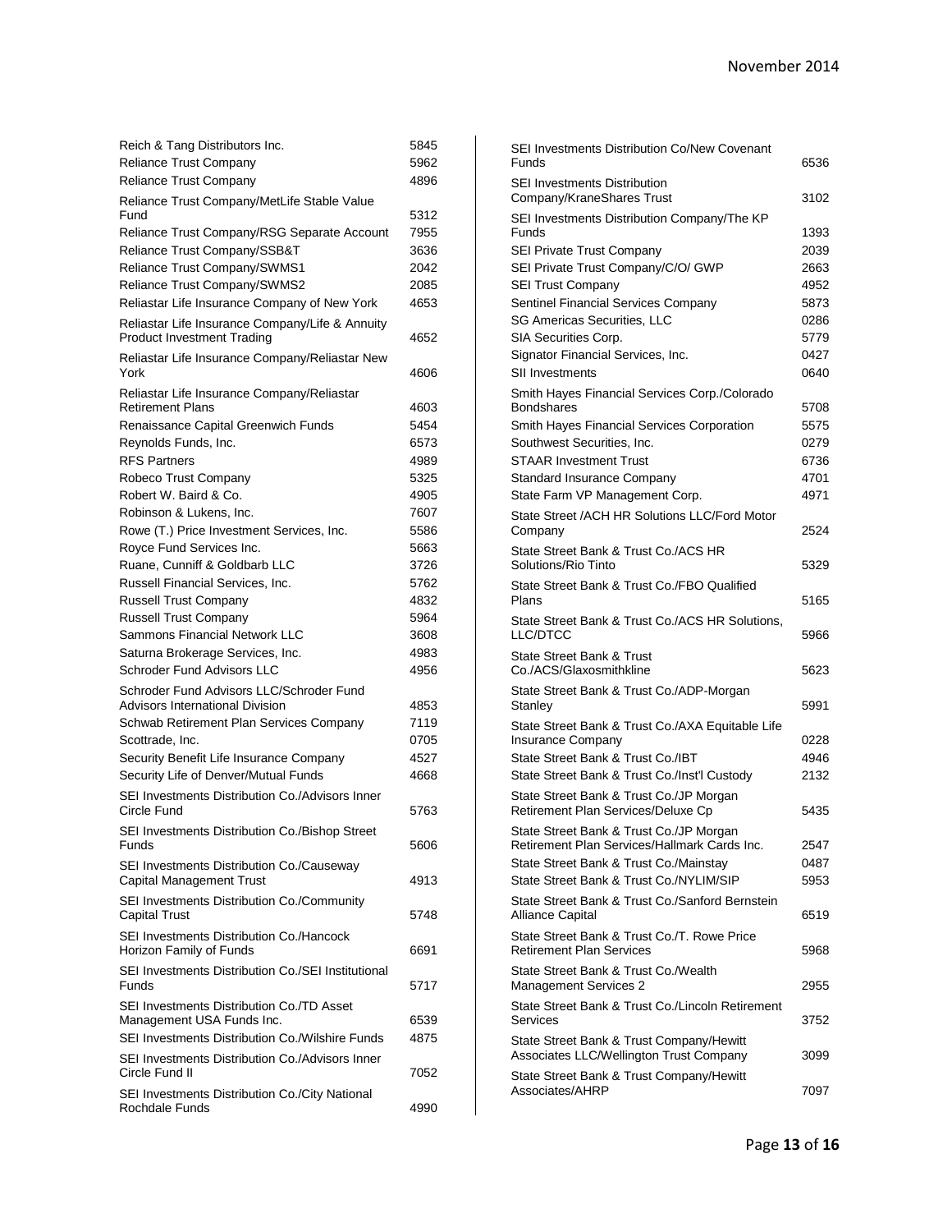| Reich & Tang Distributors Inc.                                         | 5845 |
|------------------------------------------------------------------------|------|
| <b>Reliance Trust Company</b>                                          | 5962 |
| Reliance Trust Company                                                 | 4896 |
| Reliance Trust Company/MetLife Stable Value                            |      |
| Fund                                                                   | 5312 |
| Reliance Trust Company/RSG Separate Account                            | 7955 |
| Reliance Trust Company/SSB&T                                           | 3636 |
| Reliance Trust Company/SWMS1                                           | 2042 |
| Reliance Trust Company/SWMS2                                           | 2085 |
| Reliastar Life Insurance Company of New York                           | 4653 |
| Reliastar Life Insurance Company/Life & Annuity                        |      |
| <b>Product Investment Trading</b>                                      | 4652 |
| Reliastar Life Insurance Company/Reliastar New<br>York                 | 4606 |
| Reliastar Life Insurance Company/Reliastar                             |      |
| <b>Retirement Plans</b>                                                | 4603 |
| Renaissance Capital Greenwich Funds                                    | 5454 |
| Reynolds Funds, Inc.                                                   | 6573 |
| <b>RFS Partners</b>                                                    | 4989 |
| Robeco Trust Company                                                   | 5325 |
| Robert W. Baird & Co.                                                  | 4905 |
| Robinson & Lukens, Inc.                                                | 7607 |
|                                                                        | 5586 |
| Rowe (T.) Price Investment Services, Inc.                              |      |
| Royce Fund Services Inc.                                               | 5663 |
| Ruane, Cunniff & Goldbarb LLC                                          | 3726 |
| Russell Financial Services, Inc.                                       | 5762 |
| <b>Russell Trust Company</b>                                           | 4832 |
| <b>Russell Trust Company</b>                                           | 5964 |
| Sammons Financial Network LLC                                          | 3608 |
| Saturna Brokerage Services, Inc.                                       | 4983 |
| Schroder Fund Advisors LLC                                             | 4956 |
| Schroder Fund Advisors LLC/Schroder Fund                               |      |
| Advisors International Division                                        | 4853 |
| Schwab Retirement Plan Services Company                                | 7119 |
| Scottrade, Inc.                                                        | 0705 |
| Security Benefit Life Insurance Company                                | 4527 |
| Security Life of Denver/Mutual Funds                                   | 4668 |
| SEI Investments Distribution Co./Advisors Inner<br>Circle Fund         | 5763 |
| SEI Investments Distribution Co./Bishop Street                         |      |
| Funds                                                                  | 5606 |
| SEI Investments Distribution Co./Causeway<br>Capital Management Trust  | 4913 |
| SEI Investments Distribution Co./Community<br><b>Capital Trust</b>     | 5748 |
|                                                                        |      |
| SEI Investments Distribution Co./Hancock<br>Horizon Family of Funds    | 6691 |
| SEI Investments Distribution Co./SEI Institutional<br>Funds            | 5717 |
| SEI Investments Distribution Co./TD Asset<br>Management USA Funds Inc. | 6539 |
| SEI Investments Distribution Co./Wilshire Funds                        | 4875 |
|                                                                        |      |
| SEI Investments Distribution Co./Advisors Inner<br>Circle Fund II      | 7052 |
| SEI Investments Distribution Co./City National<br>Rochdale Funds       | 4990 |

| SEI Investments Distribution Co/New Covenant                                        |      |
|-------------------------------------------------------------------------------------|------|
| Funds                                                                               | 6536 |
| <b>SEI Investments Distribution</b>                                                 |      |
| Company/KraneShares Trust                                                           | 3102 |
| SEI Investments Distribution Company/The KP                                         |      |
| Funds                                                                               | 1393 |
| SEI Private Trust Company                                                           | 2039 |
| SEI Private Trust Company/C/O/ GWP                                                  | 2663 |
| <b>SEI Trust Company</b>                                                            | 4952 |
| Sentinel Financial Services Company                                                 | 5873 |
| <b>SG Americas Securities, LLC</b>                                                  | 0286 |
| SIA Securities Corp.                                                                | 5779 |
| Signator Financial Services, Inc.                                                   | 0427 |
| <b>SII Investments</b>                                                              | 0640 |
| Smith Hayes Financial Services Corp./Colorado                                       |      |
| <b>Bondshares</b>                                                                   | 5708 |
| Smith Hayes Financial Services Corporation                                          | 5575 |
| Southwest Securities, Inc.                                                          | 0279 |
| <b>STAAR Investment Trust</b>                                                       | 6736 |
| Standard Insurance Company                                                          | 4701 |
| State Farm VP Management Corp.                                                      | 4971 |
| State Street /ACH HR Solutions LLC/Ford Motor                                       |      |
| Company                                                                             | 2524 |
| State Street Bank & Trust Co./ACS HR                                                |      |
| Solutions/Rio Tinto                                                                 | 5329 |
| State Street Bank & Trust Co./FBO Qualified                                         |      |
| Plans                                                                               | 5165 |
| State Street Bank & Trust Co./ACS HR Solutions,                                     |      |
| LLC/DTCC                                                                            | 5966 |
| State Street Bank & Trust                                                           |      |
| Co./ACS/Glaxosmithkline                                                             | 5623 |
| State Street Bank & Trust Co./ADP-Morgan                                            |      |
| Stanley                                                                             | 5991 |
| State Street Bank & Trust Co./AXA Equitable Life                                    |      |
| Insurance Company                                                                   | 0228 |
| State Street Bank & Trust Co./IBT                                                   | 4946 |
| State Street Bank & Trust Co./Inst'l Custody                                        | 2132 |
| State Street Bank & Trust Co./JP Morgan                                             |      |
| Retirement Plan Services/Deluxe Cp                                                  | 5435 |
| State Street Bank & Trust Co./JP Morgan                                             |      |
| Retirement Plan Services/Hallmark Cards Inc.                                        | 2547 |
| State Street Bank & Trust Co./Mainstay                                              | 0487 |
| State Street Bank & Trust Co./NYLIM/SIP                                             | 5953 |
| State Street Bank & Trust Co./Sanford Bernstein                                     |      |
| <b>Alliance Capital</b>                                                             | 6519 |
| State Street Bank & Trust Co./T. Rowe Price                                         |      |
| <b>Retirement Plan Services</b>                                                     | 5968 |
| State Street Bank & Trust Co./Wealth                                                |      |
| <b>Management Services 2</b>                                                        | 2955 |
| State Street Bank & Trust Co./Lincoln Retirement                                    |      |
| Services                                                                            | 3752 |
|                                                                                     |      |
| State Street Bank & Trust Company/Hewitt<br>Associates LLC/Wellington Trust Company | 3099 |
|                                                                                     |      |
| State Street Bank & Trust Company/Hewitt<br>Associates/AHRP                         | 7097 |
|                                                                                     |      |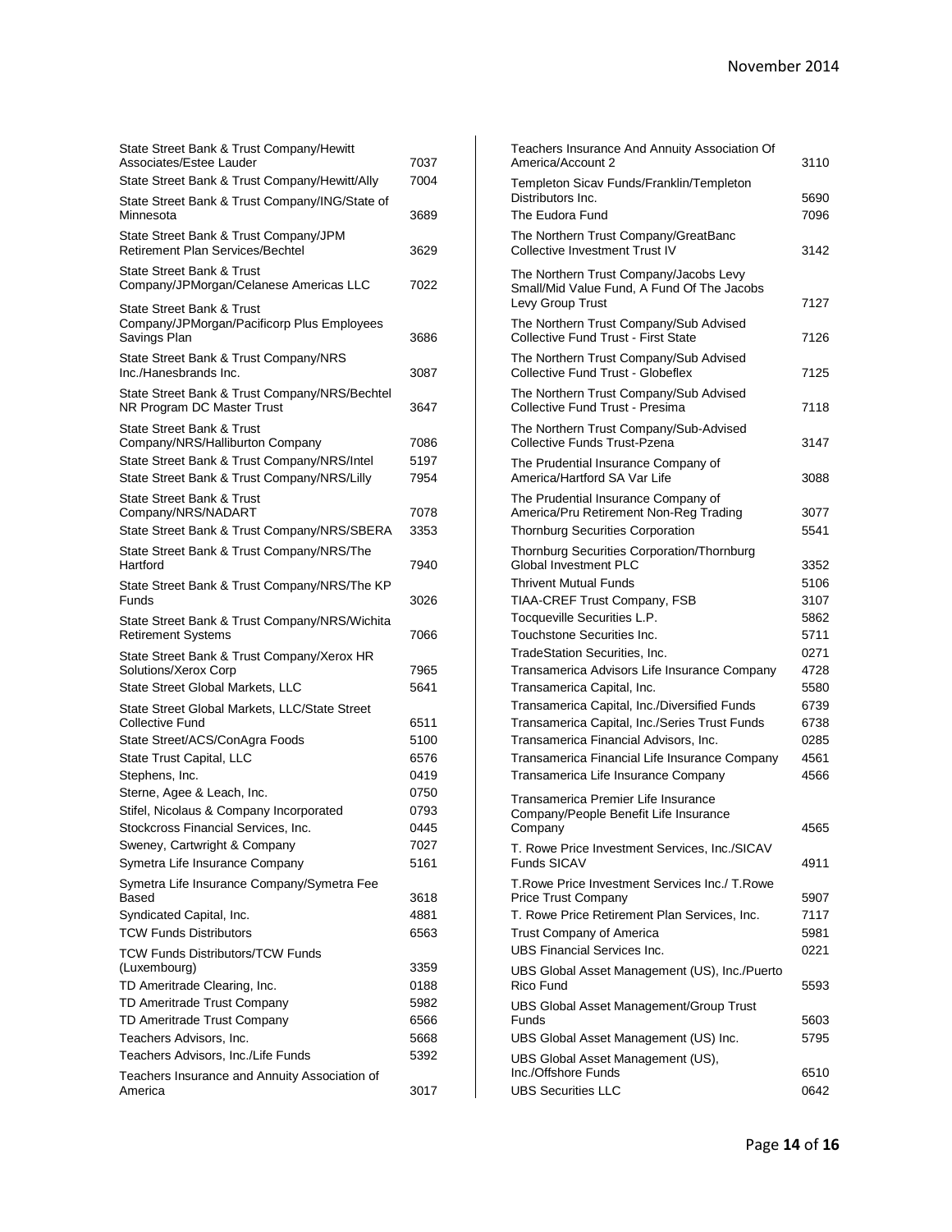| State Street Bank & Trust Company/Hewitt<br>Associates/Estee Lauder<br>State Street Bank & Trust Company/Hewitt/Ally | 7037<br>7004 |
|----------------------------------------------------------------------------------------------------------------------|--------------|
| State Street Bank & Trust Company/ING/State of<br>Minnesota                                                          | 3689         |
| State Street Bank & Trust Company/JPM<br>Retirement Plan Services/Bechtel                                            | 3629         |
| State Street Bank & Trust<br>Company/JPMorgan/Celanese Americas LLC                                                  | 7022         |
| State Street Bank & Trust<br>Company/JPMorgan/Pacificorp Plus Employees<br>Savings Plan                              | 3686         |
| State Street Bank & Trust Company/NRS<br>Inc./Hanesbrands Inc.                                                       | 3087         |
| State Street Bank & Trust Company/NRS/Bechtel<br>NR Program DC Master Trust                                          | 3647         |
| State Street Bank & Trust                                                                                            |              |
| Company/NRS/Halliburton Company<br>State Street Bank & Trust Company/NRS/Intel                                       | 7086<br>5197 |
| State Street Bank & Trust Company/NRS/Lilly                                                                          | 7954         |
| State Street Bank & Trust                                                                                            |              |
| Company/NRS/NADART                                                                                                   | 7078         |
| State Street Bank & Trust Company/NRS/SBERA                                                                          | 3353         |
| State Street Bank & Trust Company/NRS/The<br>Hartford                                                                | 7940         |
| State Street Bank & Trust Company/NRS/The KP<br>Funds                                                                | 3026         |
| State Street Bank & Trust Company/NRS/Wichita<br><b>Retirement Systems</b>                                           | 7066         |
| State Street Bank & Trust Company/Xerox HR                                                                           |              |
| Solutions/Xerox Corp                                                                                                 | 7965         |
| State Street Global Markets, LLC                                                                                     | 5641         |
| State Street Global Markets, LLC/State Street<br><b>Collective Fund</b>                                              | 6511         |
| State Street/ACS/ConAgra Foods                                                                                       | 5100         |
| State Trust Capital, LLC                                                                                             | 6576         |
| Stephens, Inc.                                                                                                       | 0419         |
| Sterne, Agee & Leach, Inc.                                                                                           | 0750         |
| Stifel, Nicolaus & Company Incorporated                                                                              | 0793         |
| Stockcross Financial Services, Inc.                                                                                  | 0445         |
| Sweney, Cartwright & Company                                                                                         | 7027         |
| Symetra Life Insurance Company                                                                                       | 5161         |
| Symetra Life Insurance Company/Symetra Fee<br>Based                                                                  | 3618         |
| Syndicated Capital, Inc.                                                                                             | 4881         |
| <b>TCW Funds Distributors</b>                                                                                        | 6563         |
| <b>TCW Funds Distributors/TCW Funds</b>                                                                              |              |
| (Luxembourg)                                                                                                         | 3359         |
| TD Ameritrade Clearing, Inc.                                                                                         | 0188         |
| TD Ameritrade Trust Company                                                                                          | 5982         |
| TD Ameritrade Trust Company<br>Teachers Advisors, Inc.                                                               | 6566<br>5668 |
| Teachers Advisors, Inc./Life Funds                                                                                   | 5392         |
| Teachers Insurance and Annuity Association of                                                                        |              |
| America                                                                                                              | 3017         |

| Teachers Insurance And Annuity Association Of<br>America/Account 2                   | 3110         |
|--------------------------------------------------------------------------------------|--------------|
| Templeton Sicav Funds/Franklin/Templeton                                             |              |
| Distributors Inc.                                                                    | 5690         |
| The Eudora Fund                                                                      | 7096         |
| The Northern Trust Company/GreatBanc<br>Collective Investment Trust IV               | 3142         |
| The Northern Trust Company/Jacobs Levy<br>Small/Mid Value Fund, A Fund Of The Jacobs |              |
| Levy Group Trust                                                                     | 7127         |
| The Northern Trust Company/Sub Advised<br>Collective Fund Trust - First State        | 7126         |
| The Northern Trust Company/Sub Advised<br>Collective Fund Trust - Globeflex          | 7125         |
| The Northern Trust Company/Sub Advised<br>Collective Fund Trust - Presima            | 7118         |
| The Northern Trust Company/Sub-Advised<br><b>Collective Funds Trust-Pzena</b>        | 3147         |
| The Prudential Insurance Company of                                                  |              |
| America/Hartford SA Var Life                                                         | 3088         |
| The Prudential Insurance Company of                                                  |              |
| America/Pru Retirement Non-Reg Trading                                               | 3077         |
| <b>Thornburg Securities Corporation</b>                                              | 5541         |
| Thornburg Securities Corporation/Thornburg                                           |              |
| Global Investment PLC<br><b>Thrivent Mutual Funds</b>                                | 3352<br>5106 |
| TIAA-CREF Trust Company, FSB                                                         | 3107         |
| Tocqueville Securities L.P.                                                          | 5862         |
| Touchstone Securities Inc.                                                           | 5711         |
| <b>TradeStation Securities, Inc.</b>                                                 | 0271         |
| Transamerica Advisors Life Insurance Company                                         | 4728         |
| Transamerica Capital, Inc.                                                           | 5580         |
| Transamerica Capital, Inc./Diversified Funds                                         | 6739         |
| Transamerica Capital, Inc./Series Trust Funds                                        | 6738         |
| Transamerica Financial Advisors, Inc.                                                | 0285         |
| Transamerica Financial Life Insurance Company                                        | 4561         |
| Transamerica Life Insurance Company                                                  | 4566         |
| Transamerica Premier Life Insurance<br>Company/People Benefit Life Insurance         |              |
| Company                                                                              | 4565         |
| T. Rowe Price Investment Services, Inc./SICAV                                        |              |
| Funds SICAV                                                                          | 4911         |
| T. Rowe Price Investment Services Inc./ T. Rowe                                      |              |
| <b>Price Trust Company</b><br>T. Rowe Price Retirement Plan Services, Inc.           | 5907<br>7117 |
| Trust Company of America                                                             | 5981         |
| <b>UBS Financial Services Inc.</b>                                                   | 0221         |
| UBS Global Asset Management (US), Inc./Puerto                                        |              |
| Rico Fund                                                                            | 5593         |
| <b>UBS Global Asset Management/Group Trust</b><br>Funds                              | 5603         |
| UBS Global Asset Management (US) Inc.                                                | 5795         |
| UBS Global Asset Management (US),                                                    |              |
| Inc./Offshore Funds                                                                  | 6510         |
| <b>UBS Securities LLC</b>                                                            | 0642         |
|                                                                                      |              |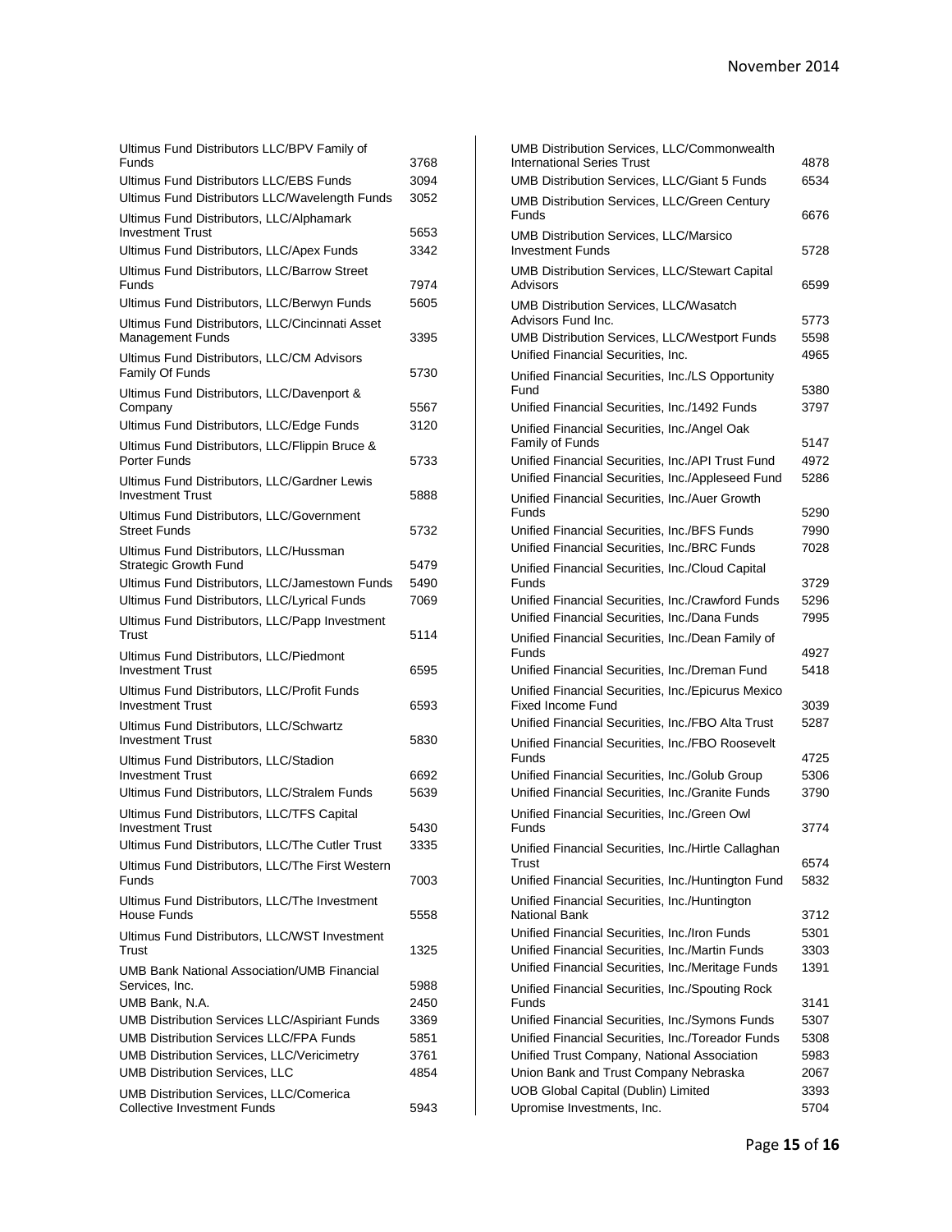| Ultimus Fund Distributors LLC/BPV Family of<br>Funds                          | 3768 |
|-------------------------------------------------------------------------------|------|
| Ultimus Fund Distributors LLC/EBS Funds                                       | 3094 |
| Ultimus Fund Distributors LLC/Wavelength Funds                                | 3052 |
| Ultimus Fund Distributors, LLC/Alphamark<br><b>Investment Trust</b>           |      |
|                                                                               | 5653 |
| Ultimus Fund Distributors, LLC/Apex Funds                                     | 3342 |
| Ultimus Fund Distributors, LLC/Barrow Street<br>Funds                         | 7974 |
| Ultimus Fund Distributors, LLC/Berwyn Funds                                   | 5605 |
| Ultimus Fund Distributors, LLC/Cincinnati Asset<br><b>Management Funds</b>    | 3395 |
| Ultimus Fund Distributors, LLC/CM Advisors<br>Family Of Funds                 | 5730 |
| Ultimus Fund Distributors, LLC/Davenport &<br>Company                         | 5567 |
| Ultimus Fund Distributors, LLC/Edge Funds                                     | 3120 |
| Ultimus Fund Distributors, LLC/Flippin Bruce &                                |      |
| Porter Funds                                                                  | 5733 |
| Ultimus Fund Distributors, LLC/Gardner Lewis<br><b>Investment Trust</b>       | 5888 |
| Ultimus Fund Distributors, LLC/Government<br><b>Street Funds</b>              | 5732 |
| Ultimus Fund Distributors, LLC/Hussman                                        |      |
| <b>Strategic Growth Fund</b>                                                  | 5479 |
| Ultimus Fund Distributors, LLC/Jamestown Funds                                | 5490 |
| Ultimus Fund Distributors, LLC/Lyrical Funds                                  | 7069 |
| Ultimus Fund Distributors, LLC/Papp Investment                                |      |
| Trust                                                                         | 5114 |
| Ultimus Fund Distributors, LLC/Piedmont<br><b>Investment Trust</b>            | 6595 |
| Ultimus Fund Distributors, LLC/Profit Funds<br><b>Investment Trust</b>        | 6593 |
| Ultimus Fund Distributors, LLC/Schwartz<br><b>Investment Trust</b>            | 5830 |
| Ultimus Fund Distributors, LLC/Stadion                                        |      |
| <b>Investment Trust</b>                                                       | 6692 |
| Ultimus Fund Distributors, LLC/Stralem Funds                                  | 5639 |
| Ultimus Fund Distributors, LLC/TFS Capital                                    |      |
| <b>Investment Trust</b>                                                       | 5430 |
| Ultimus Fund Distributors, LLC/The Cutler Trust                               | 3335 |
| Ultimus Fund Distributors, LLC/The First Western<br>Funds                     | 7003 |
| Ultimus Fund Distributors, LLC/The Investment<br><b>House Funds</b>           |      |
|                                                                               | 5558 |
| Ultimus Fund Distributors, LLC/WST Investment                                 |      |
| Trust                                                                         | 1325 |
| UMB Bank National Association/UMB Financial<br>Services, Inc.                 | 5988 |
| UMB Bank, N.A.                                                                | 2450 |
| UMB Distribution Services LLC/Aspiriant Funds                                 | 3369 |
| <b>UMB Distribution Services LLC/FPA Funds</b>                                | 5851 |
| <b>UMB Distribution Services, LLC/Vericimetry</b>                             | 3761 |
| <b>UMB Distribution Services, LLC</b>                                         | 4854 |
| UMB Distribution Services, LLC/Comerica<br><b>Collective Investment Funds</b> |      |

| UMB Distribution Services, LLC/Commonwealth                                    |              |
|--------------------------------------------------------------------------------|--------------|
| <b>International Series Trust</b>                                              | 4878         |
| UMB Distribution Services, LLC/Giant 5 Funds                                   | 6534         |
| UMB Distribution Services, LLC/Green Century<br>Funds                          | 6676         |
| <b>UMB Distribution Services, LLC/Marsico</b><br>Investment Funds              | 5728         |
| <b>UMB Distribution Services, LLC/Stewart Capital</b><br>Advisors              | 6599         |
| <b>UMB Distribution Services, LLC/Wasatch</b>                                  |              |
| Advisors Fund Inc.                                                             | 5773         |
| <b>UMB Distribution Services, LLC/Westport Funds</b>                           | 5598         |
| Unified Financial Securities, Inc.                                             | 4965         |
| Unified Financial Securities, Inc./LS Opportunity                              |              |
| Fund                                                                           | 5380         |
| Unified Financial Securities, Inc./1492 Funds                                  | 3797         |
| Unified Financial Securities, Inc./Angel Oak                                   |              |
| Family of Funds                                                                | 5147         |
| Unified Financial Securities, Inc./API Trust Fund                              | 4972         |
| Unified Financial Securities, Inc./Appleseed Fund                              | 5286         |
| Unified Financial Securities, Inc./Auer Growth                                 |              |
| Funds<br>Unified Financial Securities, Inc./BFS Funds                          | 5290<br>7990 |
| Unified Financial Securities, Inc./BRC Funds                                   | 7028         |
|                                                                                |              |
| Unified Financial Securities, Inc./Cloud Capital<br>Funds                      | 3729         |
| Unified Financial Securities, Inc./Crawford Funds                              | 5296         |
| Unified Financial Securities, Inc./Dana Funds                                  | 7995         |
| Unified Financial Securities, Inc./Dean Family of<br>Funds                     | 4927         |
| Unified Financial Securities, Inc./Dreman Fund                                 | 5418         |
| Unified Financial Securities, Inc./Epicurus Mexico<br><b>Fixed Income Fund</b> | 3039         |
| Unified Financial Securities, Inc./FBO Alta Trust                              | 5287         |
| Unified Financial Securities, Inc./FBO Roosevelt                               |              |
| Funds                                                                          | 4725         |
| Unified Financial Securities, Inc./Golub Group                                 | 5306         |
| Unified Financial Securities, Inc./Granite Funds                               | 3790         |
| Unified Financial Securities, Inc./Green Owl                                   |              |
| Funds                                                                          | 3774         |
| Unified Financial Securities, Inc./Hirtle Callaghan                            |              |
| Trust                                                                          | 6574         |
| Unified Financial Securities, Inc./Huntington Fund                             | 5832         |
| Unified Financial Securities, Inc./Huntington<br>National Bank                 | 3712         |
| Unified Financial Securities, Inc./Iron Funds                                  | 5301         |
| Unified Financial Securities, Inc./Martin Funds                                | 3303         |
| Unified Financial Securities, Inc./Meritage Funds                              | 1391         |
| Unified Financial Securities, Inc./Spouting Rock<br>Funds                      | 3141         |
| Unified Financial Securities, Inc./Symons Funds                                | 5307         |
| Unified Financial Securities, Inc./Toreador Funds                              | 5308         |
| Unified Trust Company, National Association                                    | 5983         |
| Union Bank and Trust Company Nebraska                                          | 2067         |
| UOB Global Capital (Dublin) Limited                                            | 3393         |
| Upromise Investments, Inc.                                                     | 5704         |